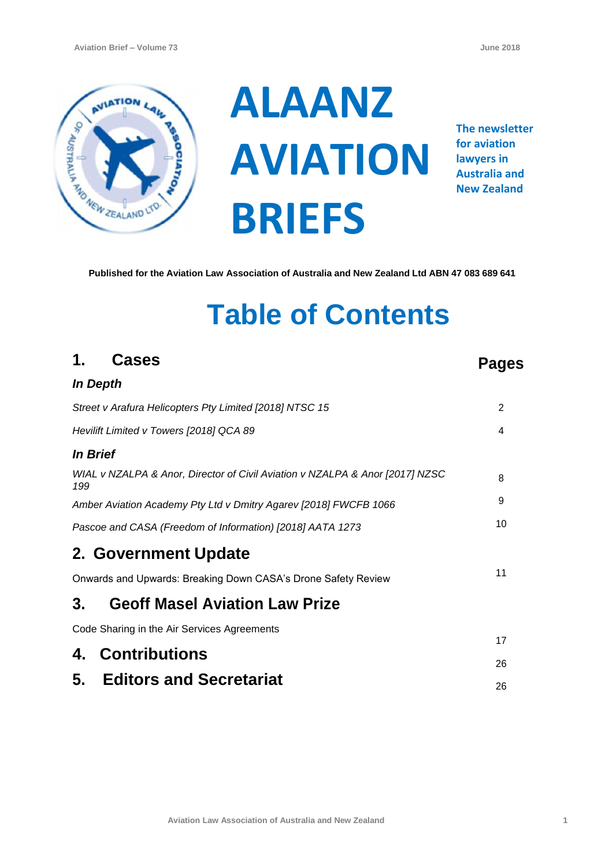

**ALAANZ AVIATION BRIEFS**

**The newsletter for aviation lawyers in Australia and New Zealand**

**Published for the Aviation Law Association of Australia and New Zealand Ltd ABN 47 083 689 641**

# **Table of Contents**

| 1.<br><b>Cases</b>                                                                  | Pages          |
|-------------------------------------------------------------------------------------|----------------|
| <b>In Depth</b>                                                                     |                |
| Street v Arafura Helicopters Pty Limited [2018] NTSC 15                             | $\overline{2}$ |
| Hevilift Limited v Towers [2018] QCA 89                                             | 4              |
| <i>In Brief</i>                                                                     |                |
| WIAL v NZALPA & Anor, Director of Civil Aviation v NZALPA & Anor [2017] NZSC<br>199 | 8              |
| Amber Aviation Academy Pty Ltd v Dmitry Agarev [2018] FWCFB 1066                    | 9              |
| Pascoe and CASA (Freedom of Information) [2018] AATA 1273                           | 10             |
| 2. Government Update                                                                |                |
| Onwards and Upwards: Breaking Down CASA's Drone Safety Review                       | 11             |
| <b>Geoff Masel Aviation Law Prize</b><br>3.                                         |                |
| Code Sharing in the Air Services Agreements                                         |                |
| Contributions<br>4.                                                                 | 17<br>26       |
| 5. Editors and Secretariat                                                          |                |
|                                                                                     | 26             |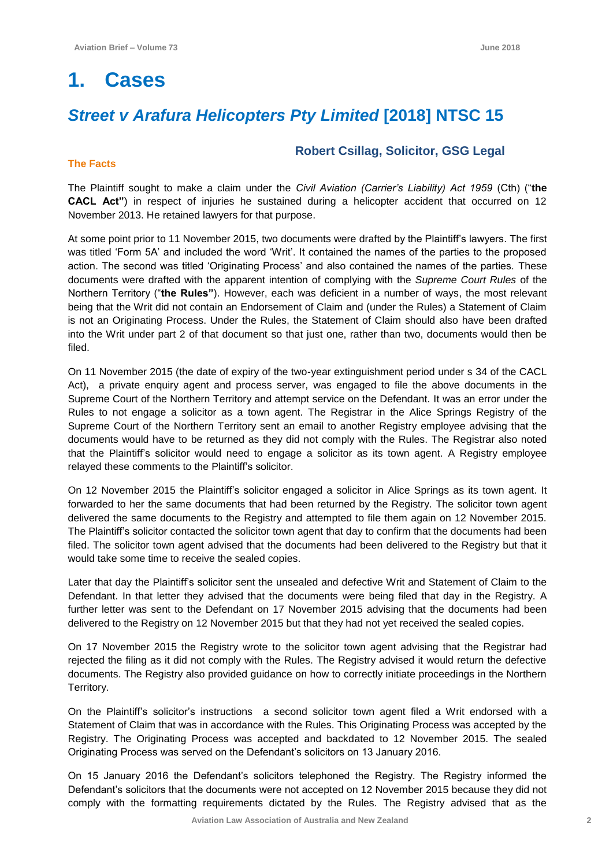## **1. Cases**

## *Street v Arafura Helicopters Pty Limited* **[2018] NTSC 15**

#### **The Facts**

#### **Robert Csillag, Solicitor, GSG Legal**

The Plaintiff sought to make a claim under the *Civil Aviation (Carrier's Liability) Act 1959* (Cth) ("**the CACL Act"**) in respect of injuries he sustained during a helicopter accident that occurred on 12 November 2013. He retained lawyers for that purpose.

At some point prior to 11 November 2015, two documents were drafted by the Plaintiff's lawyers. The first was titled 'Form 5A' and included the word 'Writ'. It contained the names of the parties to the proposed action. The second was titled 'Originating Process' and also contained the names of the parties. These documents were drafted with the apparent intention of complying with the *Supreme Court Rules* of the Northern Territory ("**the Rules"**). However, each was deficient in a number of ways, the most relevant being that the Writ did not contain an Endorsement of Claim and (under the Rules) a Statement of Claim is not an Originating Process. Under the Rules, the Statement of Claim should also have been drafted into the Writ under part 2 of that document so that just one, rather than two, documents would then be filed.

On 11 November 2015 (the date of expiry of the two-year extinguishment period under s 34 of the CACL Act), a private enquiry agent and process server, was engaged to file the above documents in the Supreme Court of the Northern Territory and attempt service on the Defendant. It was an error under the Rules to not engage a solicitor as a town agent. The Registrar in the Alice Springs Registry of the Supreme Court of the Northern Territory sent an email to another Registry employee advising that the documents would have to be returned as they did not comply with the Rules. The Registrar also noted that the Plaintiff's solicitor would need to engage a solicitor as its town agent. A Registry employee relayed these comments to the Plaintiff's solicitor.

On 12 November 2015 the Plaintiff's solicitor engaged a solicitor in Alice Springs as its town agent. It forwarded to her the same documents that had been returned by the Registry. The solicitor town agent delivered the same documents to the Registry and attempted to file them again on 12 November 2015. The Plaintiff's solicitor contacted the solicitor town agent that day to confirm that the documents had been filed. The solicitor town agent advised that the documents had been delivered to the Registry but that it would take some time to receive the sealed copies.

Later that day the Plaintiff's solicitor sent the unsealed and defective Writ and Statement of Claim to the Defendant. In that letter they advised that the documents were being filed that day in the Registry. A further letter was sent to the Defendant on 17 November 2015 advising that the documents had been delivered to the Registry on 12 November 2015 but that they had not yet received the sealed copies.

On 17 November 2015 the Registry wrote to the solicitor town agent advising that the Registrar had rejected the filing as it did not comply with the Rules. The Registry advised it would return the defective documents. The Registry also provided guidance on how to correctly initiate proceedings in the Northern Territory.

On the Plaintiff's solicitor's instructions a second solicitor town agent filed a Writ endorsed with a Statement of Claim that was in accordance with the Rules. This Originating Process was accepted by the Registry. The Originating Process was accepted and backdated to 12 November 2015. The sealed Originating Process was served on the Defendant's solicitors on 13 January 2016.

On 15 January 2016 the Defendant's solicitors telephoned the Registry. The Registry informed the Defendant's solicitors that the documents were not accepted on 12 November 2015 because they did not comply with the formatting requirements dictated by the Rules. The Registry advised that as the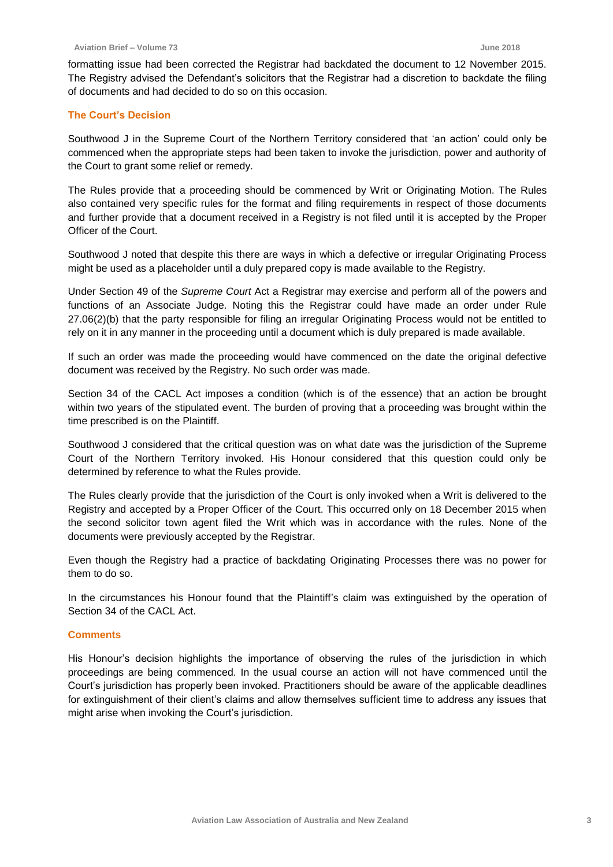formatting issue had been corrected the Registrar had backdated the document to 12 November 2015. The Registry advised the Defendant's solicitors that the Registrar had a discretion to backdate the filing of documents and had decided to do so on this occasion.

#### **The Court's Decision**

Southwood J in the Supreme Court of the Northern Territory considered that 'an action' could only be commenced when the appropriate steps had been taken to invoke the jurisdiction, power and authority of the Court to grant some relief or remedy.

The Rules provide that a proceeding should be commenced by Writ or Originating Motion. The Rules also contained very specific rules for the format and filing requirements in respect of those documents and further provide that a document received in a Registry is not filed until it is accepted by the Proper Officer of the Court.

Southwood J noted that despite this there are ways in which a defective or irregular Originating Process might be used as a placeholder until a duly prepared copy is made available to the Registry.

Under Section 49 of the *Supreme Court* Act a Registrar may exercise and perform all of the powers and functions of an Associate Judge. Noting this the Registrar could have made an order under Rule 27.06(2)(b) that the party responsible for filing an irregular Originating Process would not be entitled to rely on it in any manner in the proceeding until a document which is duly prepared is made available.

If such an order was made the proceeding would have commenced on the date the original defective document was received by the Registry. No such order was made.

Section 34 of the CACL Act imposes a condition (which is of the essence) that an action be brought within two years of the stipulated event. The burden of proving that a proceeding was brought within the time prescribed is on the Plaintiff.

Southwood J considered that the critical question was on what date was the jurisdiction of the Supreme Court of the Northern Territory invoked. His Honour considered that this question could only be determined by reference to what the Rules provide.

The Rules clearly provide that the jurisdiction of the Court is only invoked when a Writ is delivered to the Registry and accepted by a Proper Officer of the Court. This occurred only on 18 December 2015 when the second solicitor town agent filed the Writ which was in accordance with the rules. None of the documents were previously accepted by the Registrar.

Even though the Registry had a practice of backdating Originating Processes there was no power for them to do so.

In the circumstances his Honour found that the Plaintiff's claim was extinguished by the operation of Section 34 of the CACL Act.

#### **Comments**

His Honour's decision highlights the importance of observing the rules of the jurisdiction in which proceedings are being commenced. In the usual course an action will not have commenced until the Court's jurisdiction has properly been invoked. Practitioners should be aware of the applicable deadlines for extinguishment of their client's claims and allow themselves sufficient time to address any issues that might arise when invoking the Court's jurisdiction.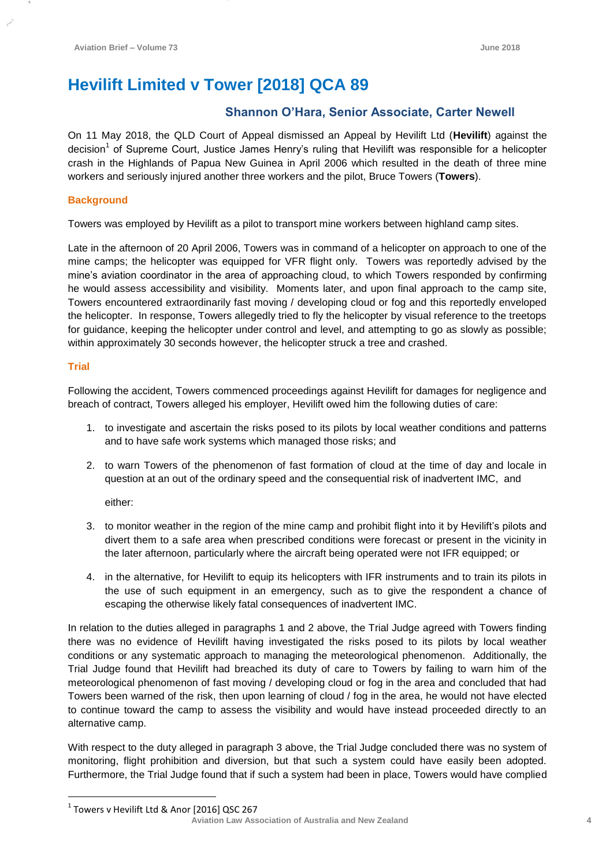## **Hevilift Limited v Tower [2018] QCA 89**

### **Shannon O'Hara, Senior Associate, Carter Newell**

On 11 May 2018, the QLD Court of Appeal dismissed an Appeal by Hevilift Ltd (**Hevilift**) against the decision<sup>1</sup> of Supreme Court, Justice James Henry's ruling that Hevilift was responsible for a helicopter crash in the Highlands of Papua New Guinea in April 2006 which resulted in the death of three mine workers and seriously injured another three workers and the pilot, Bruce Towers (**Towers**).

#### **Background**

Towers was employed by Hevilift as a pilot to transport mine workers between highland camp sites.

Late in the afternoon of 20 April 2006, Towers was in command of a helicopter on approach to one of the mine camps; the helicopter was equipped for VFR flight only. Towers was reportedly advised by the mine's aviation coordinator in the area of approaching cloud, to which Towers responded by confirming he would assess accessibility and visibility. Moments later, and upon final approach to the camp site, Towers encountered extraordinarily fast moving / developing cloud or fog and this reportedly enveloped the helicopter. In response, Towers allegedly tried to fly the helicopter by visual reference to the treetops for guidance, keeping the helicopter under control and level, and attempting to go as slowly as possible; within approximately 30 seconds however, the helicopter struck a tree and crashed.

#### **Trial**

 $\overline{a}$ 

Following the accident, Towers commenced proceedings against Hevilift for damages for negligence and breach of contract, Towers alleged his employer, Hevilift owed him the following duties of care:

- 1. to investigate and ascertain the risks posed to its pilots by local weather conditions and patterns and to have safe work systems which managed those risks; and
- 2. to warn Towers of the phenomenon of fast formation of cloud at the time of day and locale in question at an out of the ordinary speed and the consequential risk of inadvertent IMC, and

either:

- 3. to monitor weather in the region of the mine camp and prohibit flight into it by Hevilift's pilots and divert them to a safe area when prescribed conditions were forecast or present in the vicinity in the later afternoon, particularly where the aircraft being operated were not IFR equipped; or
- 4. in the alternative, for Hevilift to equip its helicopters with IFR instruments and to train its pilots in the use of such equipment in an emergency, such as to give the respondent a chance of escaping the otherwise likely fatal consequences of inadvertent IMC.

In relation to the duties alleged in paragraphs 1 and 2 above, the Trial Judge agreed with Towers finding there was no evidence of Hevilift having investigated the risks posed to its pilots by local weather conditions or any systematic approach to managing the meteorological phenomenon. Additionally, the Trial Judge found that Hevilift had breached its duty of care to Towers by failing to warn him of the meteorological phenomenon of fast moving / developing cloud or fog in the area and concluded that had Towers been warned of the risk, then upon learning of cloud / fog in the area, he would not have elected to continue toward the camp to assess the visibility and would have instead proceeded directly to an alternative camp.

With respect to the duty alleged in paragraph 3 above, the Trial Judge concluded there was no system of monitoring, flight prohibition and diversion, but that such a system could have easily been adopted. Furthermore, the Trial Judge found that if such a system had been in place, Towers would have complied

**Aviation Law Association of Australia and New Zealand <sup>4</sup>**  $^1$  Towers v Hevilift Ltd & Anor [2016] QSC 267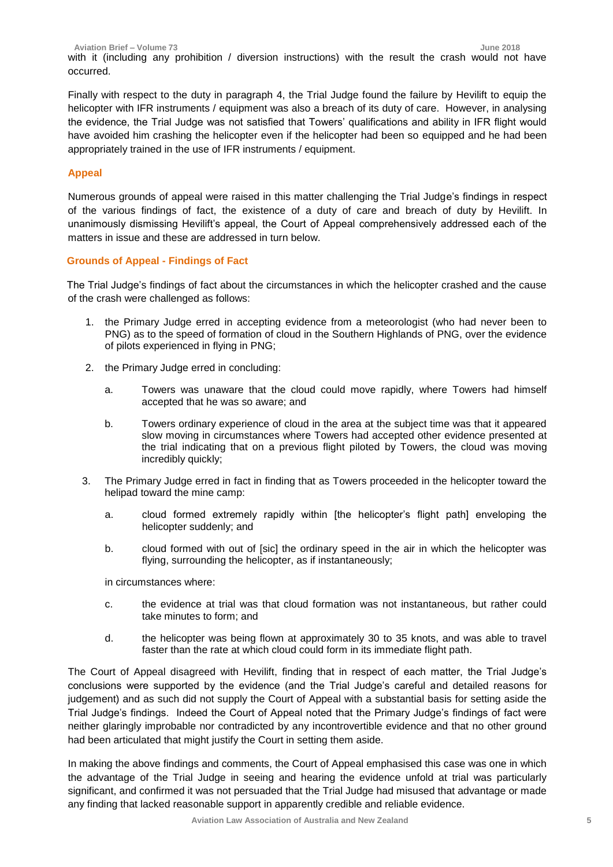**Aviation Brief – Volume 73 June 2018** with it (including any prohibition / diversion instructions) with the result the crash would not have occurred.

Finally with respect to the duty in paragraph 4, the Trial Judge found the failure by Hevilift to equip the helicopter with IFR instruments / equipment was also a breach of its duty of care. However, in analysing the evidence, the Trial Judge was not satisfied that Towers' qualifications and ability in IFR flight would have avoided him crashing the helicopter even if the helicopter had been so equipped and he had been appropriately trained in the use of IFR instruments / equipment.

#### **Appeal**

Numerous grounds of appeal were raised in this matter challenging the Trial Judge's findings in respect of the various findings of fact, the existence of a duty of care and breach of duty by Hevilift. In unanimously dismissing Hevilift's appeal, the Court of Appeal comprehensively addressed each of the matters in issue and these are addressed in turn below.

#### **Grounds of Appeal - Findings of Fact**

The Trial Judge's findings of fact about the circumstances in which the helicopter crashed and the cause of the crash were challenged as follows:

- 1. the Primary Judge erred in accepting evidence from a meteorologist (who had never been to PNG) as to the speed of formation of cloud in the Southern Highlands of PNG, over the evidence of pilots experienced in flying in PNG;
- 2. the Primary Judge erred in concluding:
	- a. Towers was unaware that the cloud could move rapidly, where Towers had himself accepted that he was so aware; and
	- b. Towers ordinary experience of cloud in the area at the subject time was that it appeared slow moving in circumstances where Towers had accepted other evidence presented at the trial indicating that on a previous flight piloted by Towers, the cloud was moving incredibly quickly;
- 3. The Primary Judge erred in fact in finding that as Towers proceeded in the helicopter toward the helipad toward the mine camp:
	- a. cloud formed extremely rapidly within [the helicopter's flight path] enveloping the helicopter suddenly; and
	- b. cloud formed with out of [sic] the ordinary speed in the air in which the helicopter was flying, surrounding the helicopter, as if instantaneously;

in circumstances where:

- c. the evidence at trial was that cloud formation was not instantaneous, but rather could take minutes to form; and
- d. the helicopter was being flown at approximately 30 to 35 knots, and was able to travel faster than the rate at which cloud could form in its immediate flight path.

The Court of Appeal disagreed with Hevilift, finding that in respect of each matter, the Trial Judge's conclusions were supported by the evidence (and the Trial Judge's careful and detailed reasons for judgement) and as such did not supply the Court of Appeal with a substantial basis for setting aside the Trial Judge's findings. Indeed the Court of Appeal noted that the Primary Judge's findings of fact were neither glaringly improbable nor contradicted by any incontrovertible evidence and that no other ground had been articulated that might justify the Court in setting them aside.

In making the above findings and comments, the Court of Appeal emphasised this case was one in which the advantage of the Trial Judge in seeing and hearing the evidence unfold at trial was particularly significant, and confirmed it was not persuaded that the Trial Judge had misused that advantage or made any finding that lacked reasonable support in apparently credible and reliable evidence.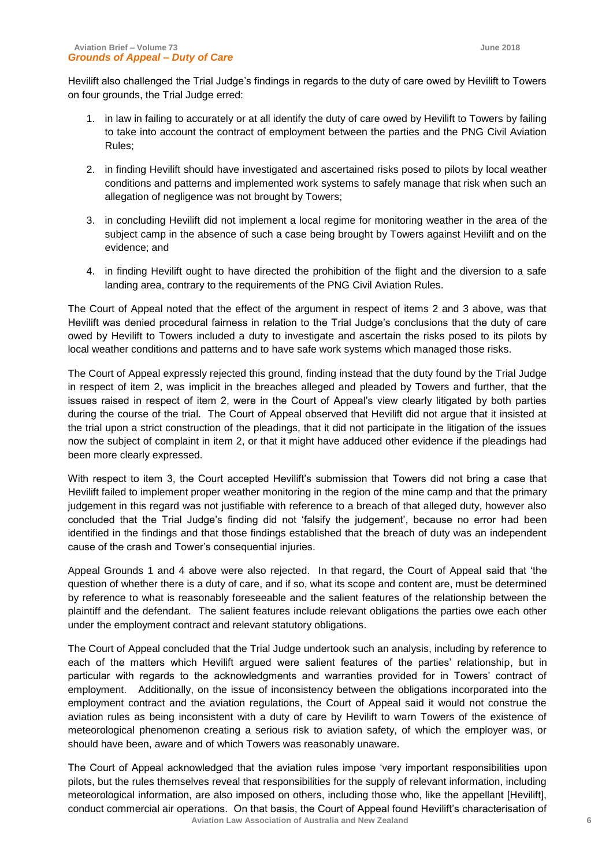Hevilift also challenged the Trial Judge's findings in regards to the duty of care owed by Hevilift to Towers on four grounds, the Trial Judge erred:

- 1. in law in failing to accurately or at all identify the duty of care owed by Hevilift to Towers by failing to take into account the contract of employment between the parties and the PNG Civil Aviation Rules;
- 2. in finding Hevilift should have investigated and ascertained risks posed to pilots by local weather conditions and patterns and implemented work systems to safely manage that risk when such an allegation of negligence was not brought by Towers;
- 3. in concluding Hevilift did not implement a local regime for monitoring weather in the area of the subject camp in the absence of such a case being brought by Towers against Hevilift and on the evidence; and
- 4. in finding Hevilift ought to have directed the prohibition of the flight and the diversion to a safe landing area, contrary to the requirements of the PNG Civil Aviation Rules.

The Court of Appeal noted that the effect of the argument in respect of items 2 and 3 above, was that Hevilift was denied procedural fairness in relation to the Trial Judge's conclusions that the duty of care owed by Hevilift to Towers included a duty to investigate and ascertain the risks posed to its pilots by local weather conditions and patterns and to have safe work systems which managed those risks.

The Court of Appeal expressly rejected this ground, finding instead that the duty found by the Trial Judge in respect of item 2, was implicit in the breaches alleged and pleaded by Towers and further, that the issues raised in respect of item 2, were in the Court of Appeal's view clearly litigated by both parties during the course of the trial. The Court of Appeal observed that Hevilift did not argue that it insisted at the trial upon a strict construction of the pleadings, that it did not participate in the litigation of the issues now the subject of complaint in item 2, or that it might have adduced other evidence if the pleadings had been more clearly expressed.

With respect to item 3, the Court accepted Hevilift's submission that Towers did not bring a case that Hevilift failed to implement proper weather monitoring in the region of the mine camp and that the primary judgement in this regard was not justifiable with reference to a breach of that alleged duty, however also concluded that the Trial Judge's finding did not 'falsify the judgement', because no error had been identified in the findings and that those findings established that the breach of duty was an independent cause of the crash and Tower's consequential injuries.

Appeal Grounds 1 and 4 above were also rejected. In that regard, the Court of Appeal said that 'the question of whether there is a duty of care, and if so, what its scope and content are, must be determined by reference to what is reasonably foreseeable and the salient features of the relationship between the plaintiff and the defendant. The salient features include relevant obligations the parties owe each other under the employment contract and relevant statutory obligations.

The Court of Appeal concluded that the Trial Judge undertook such an analysis, including by reference to each of the matters which Hevilift argued were salient features of the parties' relationship, but in particular with regards to the acknowledgments and warranties provided for in Towers' contract of employment. Additionally, on the issue of inconsistency between the obligations incorporated into the employment contract and the aviation regulations, the Court of Appeal said it would not construe the aviation rules as being inconsistent with a duty of care by Hevilift to warn Towers of the existence of meteorological phenomenon creating a serious risk to aviation safety, of which the employer was, or should have been, aware and of which Towers was reasonably unaware.

 **Aviation Law Association of Australia and New Zealand <sup>6</sup>** The Court of Appeal acknowledged that the aviation rules impose 'very important responsibilities upon pilots, but the rules themselves reveal that responsibilities for the supply of relevant information, including meteorological information, are also imposed on others, including those who, like the appellant [Hevilift], conduct commercial air operations. On that basis, the Court of Appeal found Hevilift's characterisation of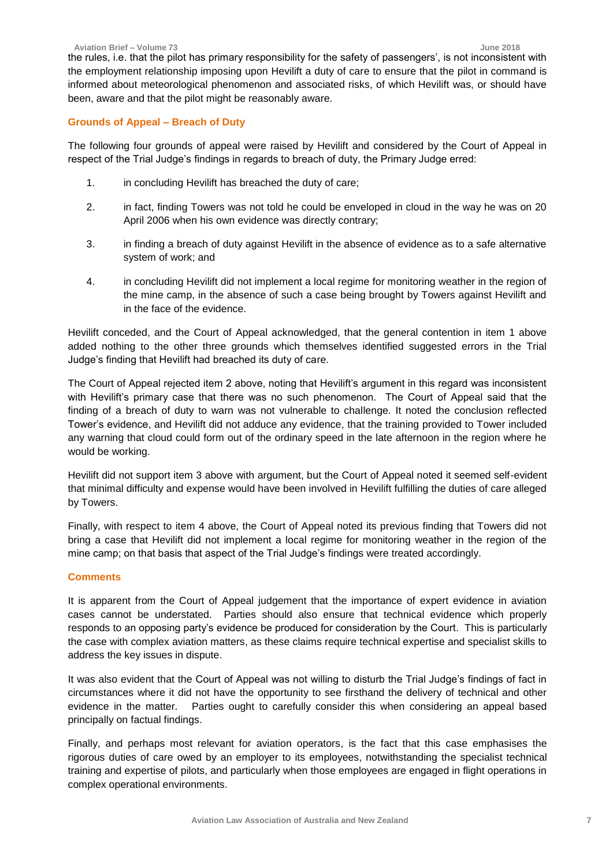the rules, i.e. that the pilot has primary responsibility for the safety of passengers', is not inconsistent with the employment relationship imposing upon Hevilift a duty of care to ensure that the pilot in command is informed about meteorological phenomenon and associated risks, of which Hevilift was, or should have been, aware and that the pilot might be reasonably aware.

#### **Grounds of Appeal – Breach of Duty**

The following four grounds of appeal were raised by Hevilift and considered by the Court of Appeal in respect of the Trial Judge's findings in regards to breach of duty, the Primary Judge erred:

- 1. in concluding Hevilift has breached the duty of care;
- 2. in fact, finding Towers was not told he could be enveloped in cloud in the way he was on 20 April 2006 when his own evidence was directly contrary;
- 3. in finding a breach of duty against Hevilift in the absence of evidence as to a safe alternative system of work; and
- 4. in concluding Hevilift did not implement a local regime for monitoring weather in the region of the mine camp, in the absence of such a case being brought by Towers against Hevilift and in the face of the evidence.

Hevilift conceded, and the Court of Appeal acknowledged, that the general contention in item 1 above added nothing to the other three grounds which themselves identified suggested errors in the Trial Judge's finding that Hevilift had breached its duty of care.

The Court of Appeal rejected item 2 above, noting that Hevilift's argument in this regard was inconsistent with Hevilift's primary case that there was no such phenomenon. The Court of Appeal said that the finding of a breach of duty to warn was not vulnerable to challenge. It noted the conclusion reflected Tower's evidence, and Hevilift did not adduce any evidence, that the training provided to Tower included any warning that cloud could form out of the ordinary speed in the late afternoon in the region where he would be working.

Hevilift did not support item 3 above with argument, but the Court of Appeal noted it seemed self-evident that minimal difficulty and expense would have been involved in Hevilift fulfilling the duties of care alleged by Towers.

Finally, with respect to item 4 above, the Court of Appeal noted its previous finding that Towers did not bring a case that Hevilift did not implement a local regime for monitoring weather in the region of the mine camp; on that basis that aspect of the Trial Judge's findings were treated accordingly.

#### **Comments**

It is apparent from the Court of Appeal judgement that the importance of expert evidence in aviation cases cannot be understated. Parties should also ensure that technical evidence which properly responds to an opposing party's evidence be produced for consideration by the Court. This is particularly the case with complex aviation matters, as these claims require technical expertise and specialist skills to address the key issues in dispute.

It was also evident that the Court of Appeal was not willing to disturb the Trial Judge's findings of fact in circumstances where it did not have the opportunity to see firsthand the delivery of technical and other evidence in the matter. Parties ought to carefully consider this when considering an appeal based principally on factual findings.

Finally, and perhaps most relevant for aviation operators, is the fact that this case emphasises the rigorous duties of care owed by an employer to its employees, notwithstanding the specialist technical training and expertise of pilots, and particularly when those employees are engaged in flight operations in complex operational environments.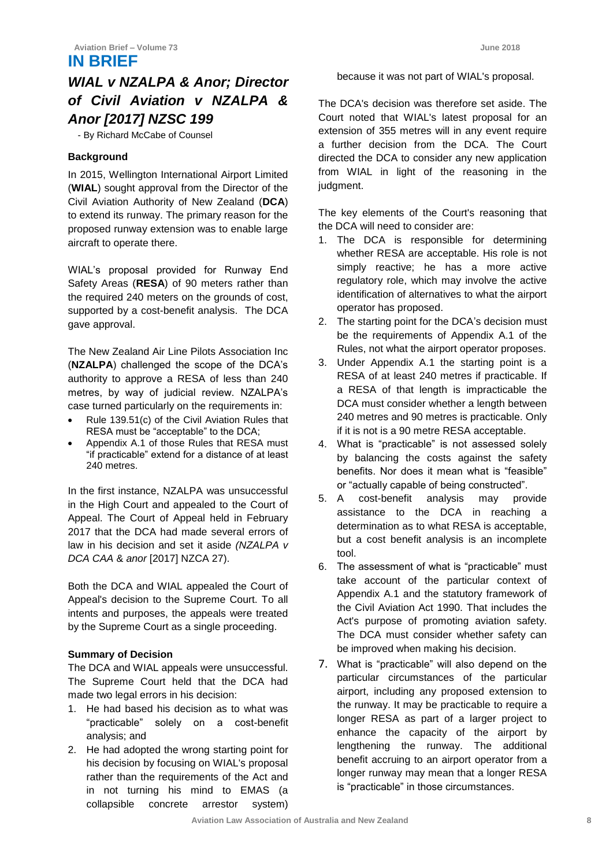### **IN BRIEF**

## *WIAL v NZALPA & Anor; Director of Civil Aviation v NZALPA & Anor [2017] NZSC 199*

- By Richard McCabe of Counsel

#### **Background**

In 2015, Wellington International Airport Limited (**WIAL**) sought approval from the Director of the Civil Aviation Authority of New Zealand (**DCA**) to extend its runway. The primary reason for the proposed runway extension was to enable large aircraft to operate there.

WIAL's proposal provided for Runway End Safety Areas (**RESA**) of 90 meters rather than the required 240 meters on the grounds of cost, supported by a cost-benefit analysis. The DCA gave approval.

The New Zealand Air Line Pilots Association Inc (**NZALPA**) challenged the scope of the DCA's authority to approve a RESA of less than 240 metres, by way of judicial review. NZALPA's case turned particularly on the requirements in:

- Rule 139.51(c) of the Civil Aviation Rules that RESA must be "acceptable" to the DCA;
- Appendix A.1 of those Rules that RESA must "if practicable" extend for a distance of at least 240 metres.

In the first instance, NZALPA was unsuccessful in the High Court and appealed to the Court of Appeal. The Court of Appeal held in February 2017 that the DCA had made several errors of law in his decision and set it aside *(NZALPA v DCA CAA* & *anor* [2017] NZCA 27).

Both the DCA and WIAL appealed the Court of Appeal's decision to the Supreme Court. To all intents and purposes, the appeals were treated by the Supreme Court as a single proceeding.

#### **Summary of Decision**

The DCA and WIAL appeals were unsuccessful. The Supreme Court held that the DCA had made two legal errors in his decision:

- 1. He had based his decision as to what was "practicable" solely on a cost-benefit analysis; and
- 2. He had adopted the wrong starting point for his decision by focusing on WIAL's proposal rather than the requirements of the Act and in not turning his mind to EMAS (a collapsible concrete arrestor system)

because it was not part of WIAL's proposal.

The DCA's decision was therefore set aside. The Court noted that WIAL's latest proposal for an extension of 355 metres will in any event require a further decision from the DCA. The Court directed the DCA to consider any new application from WIAL in light of the reasoning in the judgment.

The key elements of the Court's reasoning that the DCA will need to consider are:

- 1. The DCA is responsible for determining whether RESA are acceptable. His role is not simply reactive; he has a more active regulatory role, which may involve the active identification of alternatives to what the airport operator has proposed.
- 2. The starting point for the DCA's decision must be the requirements of Appendix A.1 of the Rules, not what the airport operator proposes.
- 3. Under Appendix A.1 the starting point is a RESA of at least 240 metres if practicable. If a RESA of that length is impracticable the DCA must consider whether a length between 240 metres and 90 metres is practicable. Only if it is not is a 90 metre RESA acceptable.
- 4. What is "practicable" is not assessed solely by balancing the costs against the safety benefits. Nor does it mean what is "feasible" or "actually capable of being constructed".
- 5. A cost-benefit analysis may provide assistance to the DCA in reaching a determination as to what RESA is acceptable, but a cost benefit analysis is an incomplete tool.
- 6. The assessment of what is "practicable" must take account of the particular context of Appendix A.1 and the statutory framework of the Civil Aviation Act 1990. That includes the Act's purpose of promoting aviation safety. The DCA must consider whether safety can be improved when making his decision.
- 7. What is "practicable" will also depend on the particular circumstances of the particular airport, including any proposed extension to the runway. It may be practicable to require a longer RESA as part of a larger project to enhance the capacity of the airport by lengthening the runway. The additional benefit accruing to an airport operator from a longer runway may mean that a longer RESA is "practicable" in those circumstances.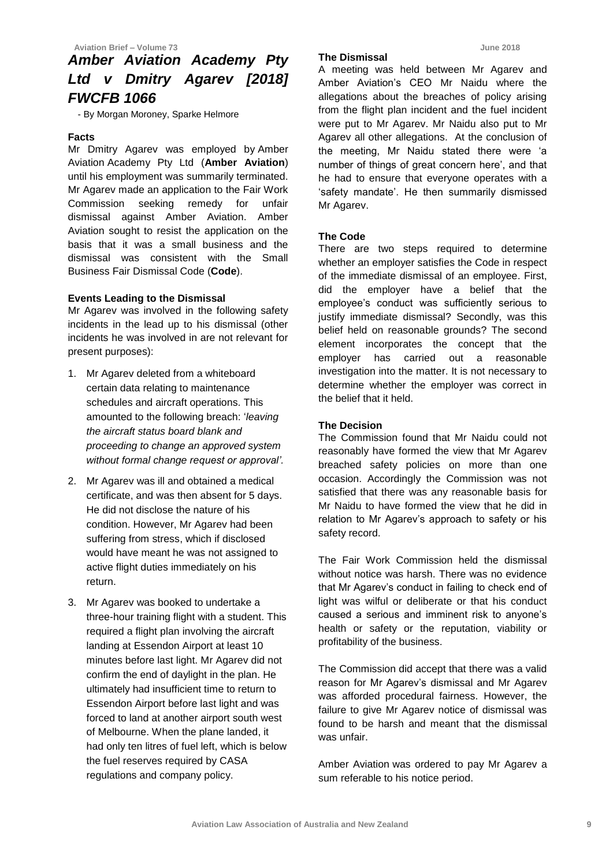## *Amber Aviation Academy Pty Ltd v Dmitry Agarev [2018] FWCFB 1066*

- By Morgan Moroney, Sparke Helmore

#### **Facts**

Mr Dmitry Agarev was employed by Amber Aviation Academy Pty Ltd (**Amber Aviation**) until his employment was summarily terminated. Mr Agarev made an application to the Fair Work Commission seeking remedy for unfair dismissal against Amber Aviation. Amber Aviation sought to resist the application on the basis that it was a small business and the dismissal was consistent with the Small Business Fair Dismissal Code (**Code**).

#### **Events Leading to the Dismissal**

Mr Agarev was involved in the following safety incidents in the lead up to his dismissal (other incidents he was involved in are not relevant for present purposes):

- 1. Mr Agarev deleted from a whiteboard certain data relating to maintenance schedules and aircraft operations. This amounted to the following breach: '*leaving the aircraft status board blank and proceeding to change an approved system without formal change request or approval'.*
- 2. Mr Agarev was ill and obtained a medical certificate, and was then absent for 5 days. He did not disclose the nature of his condition. However, Mr Agarev had been suffering from stress, which if disclosed would have meant he was not assigned to active flight duties immediately on his return.
- 3. Mr Agarev was booked to undertake a three-hour training flight with a student. This required a flight plan involving the aircraft landing at Essendon Airport at least 10 minutes before last light. Mr Agarev did not confirm the end of daylight in the plan. He ultimately had insufficient time to return to Essendon Airport before last light and was forced to land at another airport south west of Melbourne. When the plane landed, it had only ten litres of fuel left, which is below the fuel reserves required by CASA regulations and company policy.

#### **The Dismissal**

A meeting was held between Mr Agarev and Amber Aviation's CEO Mr Naidu where the allegations about the breaches of policy arising from the flight plan incident and the fuel incident were put to Mr Agarev. Mr Naidu also put to Mr Agarev all other allegations. At the conclusion of the meeting, Mr Naidu stated there were 'a number of things of great concern here', and that he had to ensure that everyone operates with a 'safety mandate'. He then summarily dismissed Mr Agarev.

#### **The Code**

There are two steps required to determine whether an employer satisfies the Code in respect of the immediate dismissal of an employee. First, did the employer have a belief that the employee's conduct was sufficiently serious to justify immediate dismissal? Secondly, was this belief held on reasonable grounds? The second element incorporates the concept that the employer has carried out a reasonable investigation into the matter. It is not necessary to determine whether the employer was correct in the belief that it held.

#### **The Decision**

The Commission found that Mr Naidu could not reasonably have formed the view that Mr Agarev breached safety policies on more than one occasion. Accordingly the Commission was not satisfied that there was any reasonable basis for Mr Naidu to have formed the view that he did in relation to Mr Agarev's approach to safety or his safety record.

The Fair Work Commission held the dismissal without notice was harsh. There was no evidence that Mr Agarev's conduct in failing to check end of light was wilful or deliberate or that his conduct caused a serious and imminent risk to anyone's health or safety or the reputation, viability or profitability of the business.

The Commission did accept that there was a valid reason for Mr Agarev's dismissal and Mr Agarev was afforded procedural fairness. However, the failure to give Mr Agarev notice of dismissal was found to be harsh and meant that the dismissal was unfair.

Amber Aviation was ordered to pay Mr Agarev a sum referable to his notice period.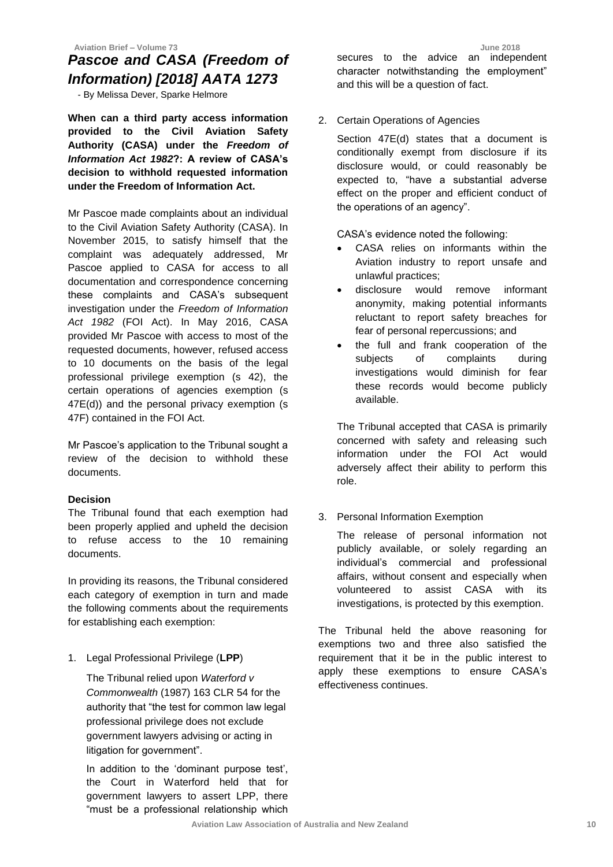#### **Aviation Brief – Volume 73 June 2018**

## *Pascoe and CASA (Freedom of Information) [2018] AATA 1273*

- By Melissa Dever, Sparke Helmore

**When can a third party access information provided to the Civil Aviation Safety Authority (CASA) under the** *Freedom of Information Act 1982***?: A review of CASA's decision to withhold requested information under the Freedom of Information Act.** 

Mr Pascoe made complaints about an individual to the Civil Aviation Safety Authority (CASA). In November 2015, to satisfy himself that the complaint was adequately addressed, Mr Pascoe applied to CASA for access to all documentation and correspondence concerning these complaints and CASA's subsequent investigation under the *Freedom of Information Act 1982* (FOI Act). In May 2016, CASA provided Mr Pascoe with access to most of the requested documents, however, refused access to 10 documents on the basis of the legal professional privilege exemption (s 42), the certain operations of agencies exemption (s 47E(d)) and the personal privacy exemption (s 47F) contained in the FOI Act.

Mr Pascoe's application to the Tribunal sought a review of the decision to withhold these documents.

#### **Decision**

The Tribunal found that each exemption had been properly applied and upheld the decision to refuse access to the 10 remaining documents.

In providing its reasons, the Tribunal considered each category of exemption in turn and made the following comments about the requirements for establishing each exemption:

1. Legal Professional Privilege (**LPP**)

The Tribunal relied upon *Waterford v Commonwealth* (1987) 163 CLR 54 for the authority that "the test for common law legal professional privilege does not exclude government lawyers advising or acting in litigation for government".

In addition to the 'dominant purpose test', the Court in Waterford held that for government lawyers to assert LPP, there "must be a professional relationship which

secures to the advice an independent character notwithstanding the employment" and this will be a question of fact.

2. Certain Operations of Agencies

Section 47E(d) states that a document is conditionally exempt from disclosure if its disclosure would, or could reasonably be expected to, "have a substantial adverse effect on the proper and efficient conduct of the operations of an agency".

CASA's evidence noted the following:

- CASA relies on informants within the Aviation industry to report unsafe and unlawful practices;
- disclosure would remove informant anonymity, making potential informants reluctant to report safety breaches for fear of personal repercussions; and
- the full and frank cooperation of the subjects of complaints during investigations would diminish for fear these records would become publicly available.

The Tribunal accepted that CASA is primarily concerned with safety and releasing such information under the FOI Act would adversely affect their ability to perform this role.

3. Personal Information Exemption

The release of personal information not publicly available, or solely regarding an individual's commercial and professional affairs, without consent and especially when volunteered to assist CASA with its investigations, is protected by this exemption.

The Tribunal held the above reasoning for exemptions two and three also satisfied the requirement that it be in the public interest to apply these exemptions to ensure CASA's effectiveness continues.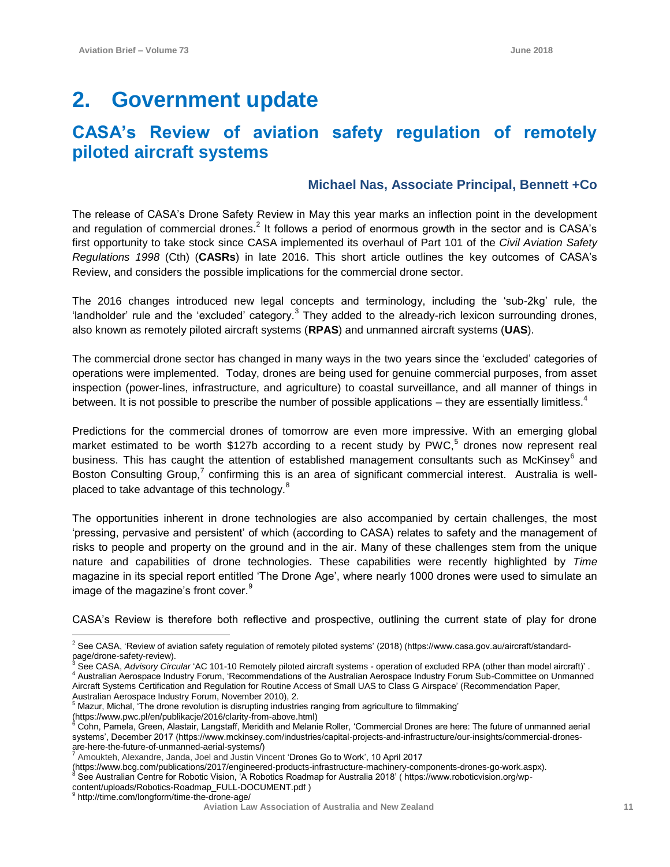## **2. Government update**

## **CASA's Review of aviation safety regulation of remotely piloted aircraft systems**

#### **Michael Nas, Associate Principal, Bennett +Co**

The release of CASA's Drone Safety Review in May this year marks an inflection point in the development and regulation of commercial drones.<sup>2</sup> It follows a period of enormous growth in the sector and is CASA's first opportunity to take stock since CASA implemented its overhaul of Part 101 of the *Civil Aviation Safety Regulations 1998* (Cth) (**CASRs**) in late 2016. This short article outlines the key outcomes of CASA's Review, and considers the possible implications for the commercial drone sector.

The 2016 changes introduced new legal concepts and terminology, including the 'sub-2kg' rule, the 'landholder' rule and the 'excluded' category. $3$  They added to the already-rich lexicon surrounding drones, also known as remotely piloted aircraft systems (**RPAS**) and unmanned aircraft systems (**UAS**).

The commercial drone sector has changed in many ways in the two years since the 'excluded' categories of operations were implemented. Today, drones are being used for genuine commercial purposes, from asset inspection (power-lines, infrastructure, and agriculture) to coastal surveillance, and all manner of things in between. It is not possible to prescribe the number of possible applications – they are essentially limitless.<sup>4</sup>

Predictions for the commercial drones of tomorrow are even more impressive. With an emerging global market estimated to be worth \$127b according to a recent study by PWC,<sup>5</sup> drones now represent real business. This has caught the attention of established management consultants such as McKinsey<sup>6</sup> and Boston Consulting Group,<sup>7</sup> confirming this is an area of significant commercial interest. Australia is wellplaced to take advantage of this technology.<sup>8</sup>

The opportunities inherent in drone technologies are also accompanied by certain challenges, the most 'pressing, pervasive and persistent' of which (according to CASA) relates to safety and the management of risks to people and property on the ground and in the air. Many of these challenges stem from the unique nature and capabilities of drone technologies. These capabilities were recently highlighted by *Time*  magazine in its special report entitled 'The Drone Age', where nearly 1000 drones were used to simulate an image of the magazine's front cover.<sup>9</sup>

CASA's Review is therefore both reflective and prospective, outlining the current state of play for drone

See CASA, *Advisory Circular* 'AC 101-10 Remotely piloted aircraft systems - operation of excluded RPA (other than model aircraft)'. <sup>4</sup> Australian Aerospace Industry Forum, 'Recommendations of the Australian Aerospace Industry Forum Sub-Committee on Unmanned Aircraft Systems Certification and Regulation for Routine Access of Small UAS to Class G Airspace' (Recommendation Paper,

(https://www.bcg.com/publications/2017/engineered-products-infrastructure-machinery-components-drones-go-work.aspx). <sup>8</sup> See Australian Centre for Robotic Vision, 'A Robotics Roadmap for Australia 2018' ( https://www.roboticvision.org/wp-

content/uploads/Robotics-Roadmap\_FULL-DOCUMENT.pdf)<br>9 http://time.com/langform/time.the.drape.com/ http://time.com/longform/time-the-drone-age/

 $\overline{a}$  $2$  See CASA, 'Review of aviation safety regulation of remotely piloted systems' (2018) (https://www.casa.gov.au/aircraft/standardpage/drone-safety-review).

Australian Aerospace Industry Forum, November 2010), 2. <sup>5</sup> Mazur, Michal, 'The drone revolution is disrupting industries ranging from agriculture to filmmaking' (https://www.pwc.pl/en/publikacje/2016/clarity-from-above.html)

<sup>6</sup> Cohn, Pamela, Green, Alastair, Langstaff, Meridith and Melanie Roller, 'Commercial Drones are here: The future of unmanned aerial systems', December 2017 (https://www.mckinsey.com/industries/capital-projects-and-infrastructure/our-insights/commercial-dronesare-here-the-future-of-unmanned-aerial-systems/)

<sup>7</sup> [Amoukteh,](https://www.bcg.com/about/people/experts/alexandre-amoukteh.aspx) Alexandre, Janda, Joel and Justin Vincent 'Drones Go to Work', 10 April 2017

**Aviation Law Association of Australia and New Zealand <sup>11</sup>**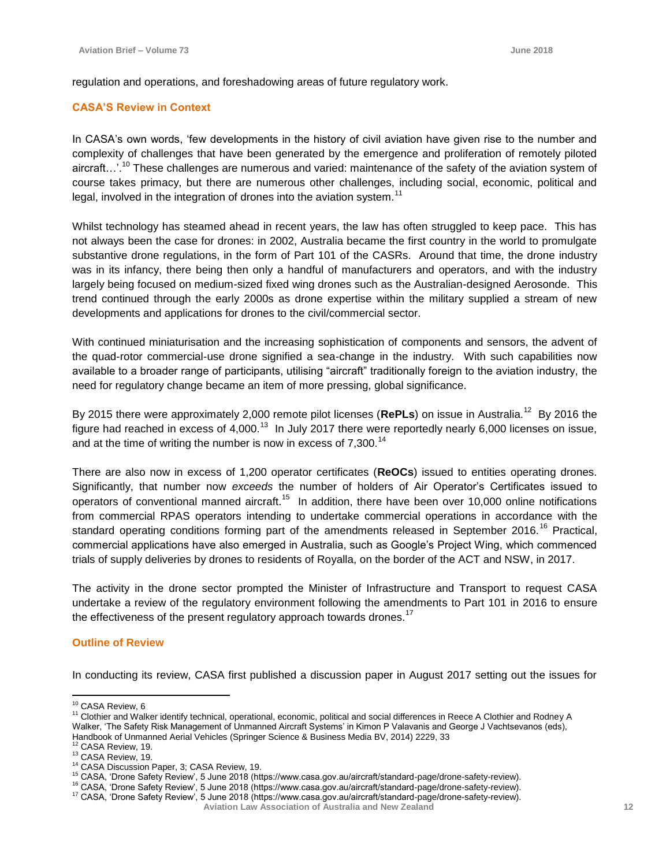regulation and operations, and foreshadowing areas of future regulatory work.

#### **CASA'S Review in Context**

In CASA's own words, 'few developments in the history of civil aviation have given rise to the number and complexity of challenges that have been generated by the emergence and proliferation of remotely piloted aircraft...'.<sup>10</sup> These challenges are numerous and varied: maintenance of the safety of the aviation system of course takes primacy, but there are numerous other challenges, including social, economic, political and legal, involved in the integration of drones into the aviation system.<sup>11</sup>

Whilst technology has steamed ahead in recent years, the law has often struggled to keep pace. This has not always been the case for drones: in 2002, Australia became the first country in the world to promulgate substantive drone regulations, in the form of Part 101 of the CASRs. Around that time, the drone industry was in its infancy, there being then only a handful of manufacturers and operators, and with the industry largely being focused on medium-sized fixed wing drones such as the Australian-designed Aerosonde. This trend continued through the early 2000s as drone expertise within the military supplied a stream of new developments and applications for drones to the civil/commercial sector.

With continued miniaturisation and the increasing sophistication of components and sensors, the advent of the quad-rotor commercial-use drone signified a sea-change in the industry. With such capabilities now available to a broader range of participants, utilising "aircraft" traditionally foreign to the aviation industry, the need for regulatory change became an item of more pressing, global significance.

By 2015 there were approximately 2,000 remote pilot licenses (RePLs) on issue in Australia.<sup>12</sup> By 2016 the figure had reached in excess of 4,000.<sup>13</sup> In July 2017 there were reportedly nearly 6,000 licenses on issue, and at the time of writing the number is now in excess of 7,300.<sup>14</sup>

There are also now in excess of 1,200 operator certificates (**ReOCs**) issued to entities operating drones. Significantly, that number now *exceeds* the number of holders of Air Operator's Certificates issued to operators of conventional manned aircraft.<sup>15</sup> In addition, there have been over 10,000 online notifications from commercial RPAS operators intending to undertake commercial operations in accordance with the standard operating conditions forming part of the amendments released in September 2016.<sup>16</sup> Practical, commercial applications have also emerged in Australia, such as Google's Project Wing, which commenced trials of supply deliveries by drones to residents of Royalla, on the border of the ACT and NSW, in 2017.

The activity in the drone sector prompted the Minister of Infrastructure and Transport to request CASA undertake a review of the regulatory environment following the amendments to Part 101 in 2016 to ensure the effectiveness of the present regulatory approach towards drones.<sup>17</sup>

#### **Outline of Review**

In conducting its review, CASA first published a discussion paper in August 2017 setting out the issues for

 $\overline{a}$ <sup>10</sup> CASA Review, 6

<sup>11</sup> Clothier and Walker identify technical, operational, economic, political and social differences in Reece A Clothier and Rodney A Walker, 'The Safety Risk Management of Unmanned Aircraft Systems' in Kimon P Valavanis and George J Vachtsevanos (eds), Handbook of Unmanned Aerial Vehicles (Springer Science & Business Media BV, 2014) 2229, 33

<sup>&</sup>lt;sup>12</sup> CASA Review, 19.

<sup>13</sup> CASA Review, 19.

<sup>14</sup> CASA Discussion Paper, 3; CASA Review, 19.

<sup>15</sup> CASA, 'Drone Safety Review', 5 June 2018 (https://www.casa.gov.au/aircraft/standard-page/drone-safety-review).

<sup>&</sup>lt;sup>16</sup> CASA, 'Drone Safety Review', 5 June 2018 (https://www.casa.gov.au/aircraft/standard-page/drone-safety-review).

**Aviation Law Association of Australia and New Zealand <sup>12</sup>** <sup>17</sup> CASA, 'Drone Safety Review', 5 June 2018 (https://www.casa.gov.au/aircraft/standard-page/drone-safety-review).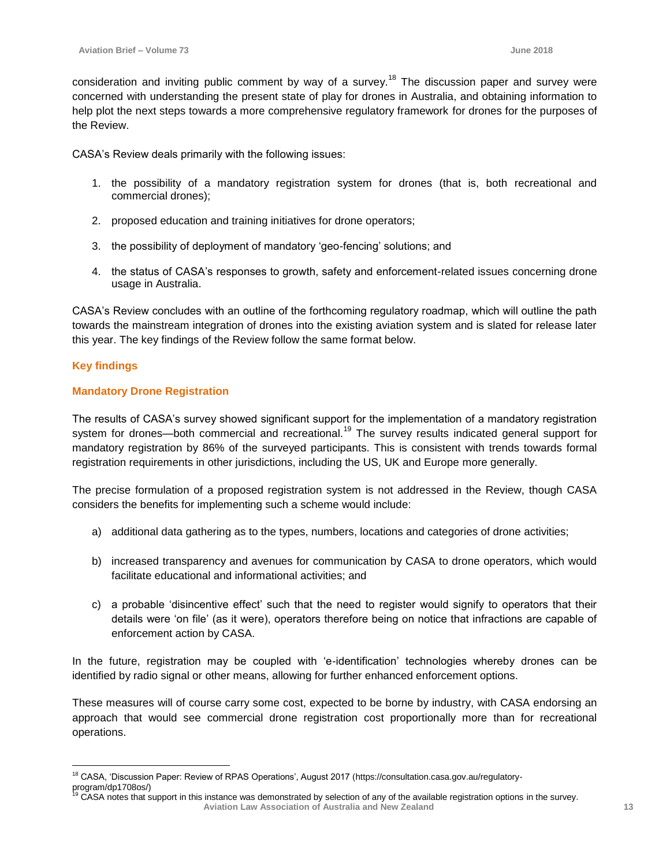consideration and inviting public comment by way of a survey.<sup>18</sup> The discussion paper and survey were concerned with understanding the present state of play for drones in Australia, and obtaining information to help plot the next steps towards a more comprehensive regulatory framework for drones for the purposes of the Review.

CASA's Review deals primarily with the following issues:

- 1. the possibility of a mandatory registration system for drones (that is, both recreational and commercial drones);
- 2. proposed education and training initiatives for drone operators;
- 3. the possibility of deployment of mandatory 'geo-fencing' solutions; and
- 4. the status of CASA's responses to growth, safety and enforcement-related issues concerning drone usage in Australia.

CASA's Review concludes with an outline of the forthcoming regulatory roadmap, which will outline the path towards the mainstream integration of drones into the existing aviation system and is slated for release later this year. The key findings of the Review follow the same format below.

#### **Key findings**

#### **Mandatory Drone Registration**

The results of CASA's survey showed significant support for the implementation of a mandatory registration system for drones—both commercial and recreational.<sup>19</sup> The survey results indicated general support for mandatory registration by 86% of the surveyed participants. This is consistent with trends towards formal registration requirements in other jurisdictions, including the US, UK and Europe more generally.

The precise formulation of a proposed registration system is not addressed in the Review, though CASA considers the benefits for implementing such a scheme would include:

- a) additional data gathering as to the types, numbers, locations and categories of drone activities;
- b) increased transparency and avenues for communication by CASA to drone operators, which would facilitate educational and informational activities; and
- c) a probable 'disincentive effect' such that the need to register would signify to operators that their details were 'on file' (as it were), operators therefore being on notice that infractions are capable of enforcement action by CASA.

In the future, registration may be coupled with 'e-identification' technologies whereby drones can be identified by radio signal or other means, allowing for further enhanced enforcement options.

These measures will of course carry some cost, expected to be borne by industry, with CASA endorsing an approach that would see commercial drone registration cost proportionally more than for recreational operations.

 $\overline{a}$ <sup>18</sup> CASA, 'Discussion Paper: Review of RPAS Operations', August 2017 (https://consultation.casa.gov.au/regulatoryprogram/dp1708os/)

**Aviation Law Association of Australia and New Zealand <sup>13</sup>** CASA notes that support in this instance was demonstrated by selection of any of the available registration options in the survey.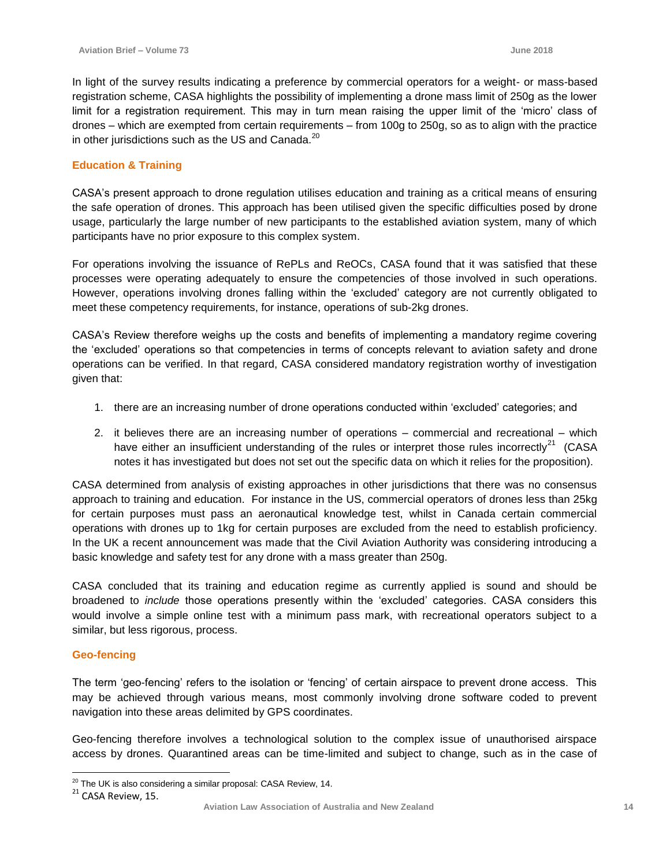In light of the survey results indicating a preference by commercial operators for a weight- or mass-based registration scheme, CASA highlights the possibility of implementing a drone mass limit of 250g as the lower limit for a registration requirement. This may in turn mean raising the upper limit of the 'micro' class of drones – which are exempted from certain requirements – from 100g to 250g, so as to align with the practice in other jurisdictions such as the US and Canada.<sup>20</sup>

#### **Education & Training**

CASA's present approach to drone regulation utilises education and training as a critical means of ensuring the safe operation of drones. This approach has been utilised given the specific difficulties posed by drone usage, particularly the large number of new participants to the established aviation system, many of which participants have no prior exposure to this complex system.

For operations involving the issuance of RePLs and ReOCs, CASA found that it was satisfied that these processes were operating adequately to ensure the competencies of those involved in such operations. However, operations involving drones falling within the 'excluded' category are not currently obligated to meet these competency requirements, for instance, operations of sub-2kg drones.

CASA's Review therefore weighs up the costs and benefits of implementing a mandatory regime covering the 'excluded' operations so that competencies in terms of concepts relevant to aviation safety and drone operations can be verified. In that regard, CASA considered mandatory registration worthy of investigation given that:

- 1. there are an increasing number of drone operations conducted within 'excluded' categories; and
- 2. it believes there are an increasing number of operations commercial and recreational which have either an insufficient understanding of the rules or interpret those rules incorrectly<sup>21</sup> (CASA notes it has investigated but does not set out the specific data on which it relies for the proposition).

CASA determined from analysis of existing approaches in other jurisdictions that there was no consensus approach to training and education. For instance in the US, commercial operators of drones less than 25kg for certain purposes must pass an aeronautical knowledge test, whilst in Canada certain commercial operations with drones up to 1kg for certain purposes are excluded from the need to establish proficiency. In the UK a recent announcement was made that the Civil Aviation Authority was considering introducing a basic knowledge and safety test for any drone with a mass greater than 250g.

CASA concluded that its training and education regime as currently applied is sound and should be broadened to *include* those operations presently within the 'excluded' categories. CASA considers this would involve a simple online test with a minimum pass mark, with recreational operators subject to a similar, but less rigorous, process.

#### **Geo-fencing**

The term 'geo-fencing' refers to the isolation or 'fencing' of certain airspace to prevent drone access. This may be achieved through various means, most commonly involving drone software coded to prevent navigation into these areas delimited by GPS coordinates.

Geo-fencing therefore involves a technological solution to the complex issue of unauthorised airspace access by drones. Quarantined areas can be time-limited and subject to change, such as in the case of

 $\overline{a}$ 

 $^{20}$  The UK is also considering a similar proposal: CASA Review, 14.

<sup>&</sup>lt;sup>21</sup> CASA Review, 15.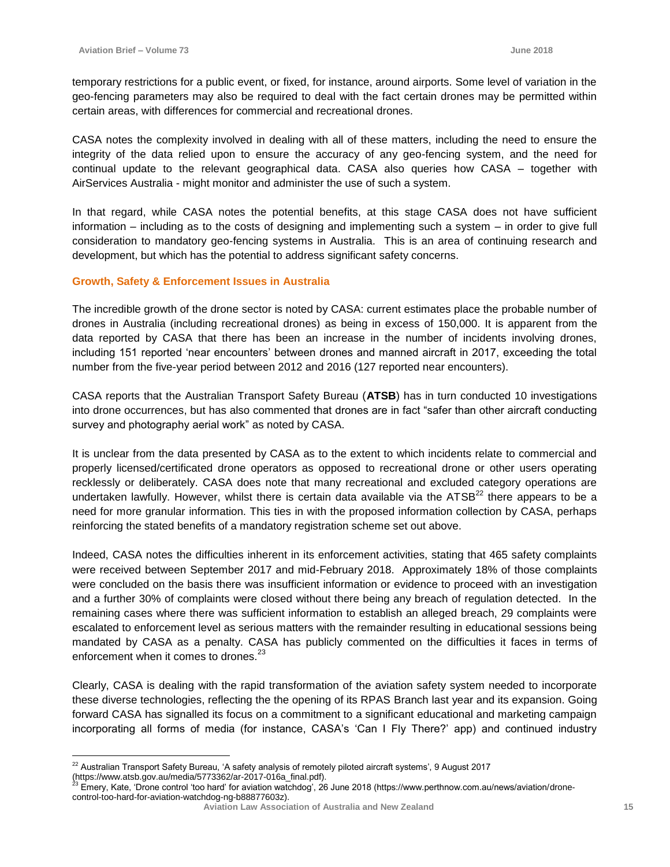$\overline{a}$ 

temporary restrictions for a public event, or fixed, for instance, around airports. Some level of variation in the geo-fencing parameters may also be required to deal with the fact certain drones may be permitted within certain areas, with differences for commercial and recreational drones.

CASA notes the complexity involved in dealing with all of these matters, including the need to ensure the integrity of the data relied upon to ensure the accuracy of any geo-fencing system, and the need for continual update to the relevant geographical data. CASA also queries how CASA – together with AirServices Australia - might monitor and administer the use of such a system.

In that regard, while CASA notes the potential benefits, at this stage CASA does not have sufficient information – including as to the costs of designing and implementing such a system – in order to give full consideration to mandatory geo-fencing systems in Australia. This is an area of continuing research and development, but which has the potential to address significant safety concerns.

#### **Growth, Safety & Enforcement Issues in Australia**

The incredible growth of the drone sector is noted by CASA: current estimates place the probable number of drones in Australia (including recreational drones) as being in excess of 150,000. It is apparent from the data reported by CASA that there has been an increase in the number of incidents involving drones, including 151 reported 'near encounters' between drones and manned aircraft in 2017, exceeding the total number from the five-year period between 2012 and 2016 (127 reported near encounters).

CASA reports that the Australian Transport Safety Bureau (**ATSB**) has in turn conducted 10 investigations into drone occurrences, but has also commented that drones are in fact "safer than other aircraft conducting survey and photography aerial work" as noted by CASA.

It is unclear from the data presented by CASA as to the extent to which incidents relate to commercial and properly licensed/certificated drone operators as opposed to recreational drone or other users operating recklessly or deliberately. CASA does note that many recreational and excluded category operations are undertaken lawfully. However, whilst there is certain data available via the  $ATSB<sup>22</sup>$  there appears to be a need for more granular information. This ties in with the proposed information collection by CASA, perhaps reinforcing the stated benefits of a mandatory registration scheme set out above.

Indeed, CASA notes the difficulties inherent in its enforcement activities, stating that 465 safety complaints were received between September 2017 and mid-February 2018. Approximately 18% of those complaints were concluded on the basis there was insufficient information or evidence to proceed with an investigation and a further 30% of complaints were closed without there being any breach of regulation detected. In the remaining cases where there was sufficient information to establish an alleged breach, 29 complaints were escalated to enforcement level as serious matters with the remainder resulting in educational sessions being mandated by CASA as a penalty. CASA has publicly commented on the difficulties it faces in terms of enforcement when it comes to drones.<sup>23</sup>

Clearly, CASA is dealing with the rapid transformation of the aviation safety system needed to incorporate these diverse technologies, reflecting the the opening of its RPAS Branch last year and its expansion. Going forward CASA has signalled its focus on a commitment to a significant educational and marketing campaign incorporating all forms of media (for instance, CASA's 'Can I Fly There?' app) and continued industry

<sup>&</sup>lt;sup>22</sup> Australian Transport Safety Bureau, 'A safety analysis of remotely piloted aircraft systems', 9 August 2017 (https://www.atsb.gov.au/media/5773362/ar-2017-016a\_final.pdf).

<sup>23</sup> Emery, Kate, 'Drone control 'too hard' for aviation watchdog', 26 June 2018 (https://www.perthnow.com.au/news/aviation/dronecontrol-too-hard-for-aviation-watchdog-ng-b88877603z).

**Aviation Law Association of Australia and New Zealand <sup>15</sup>**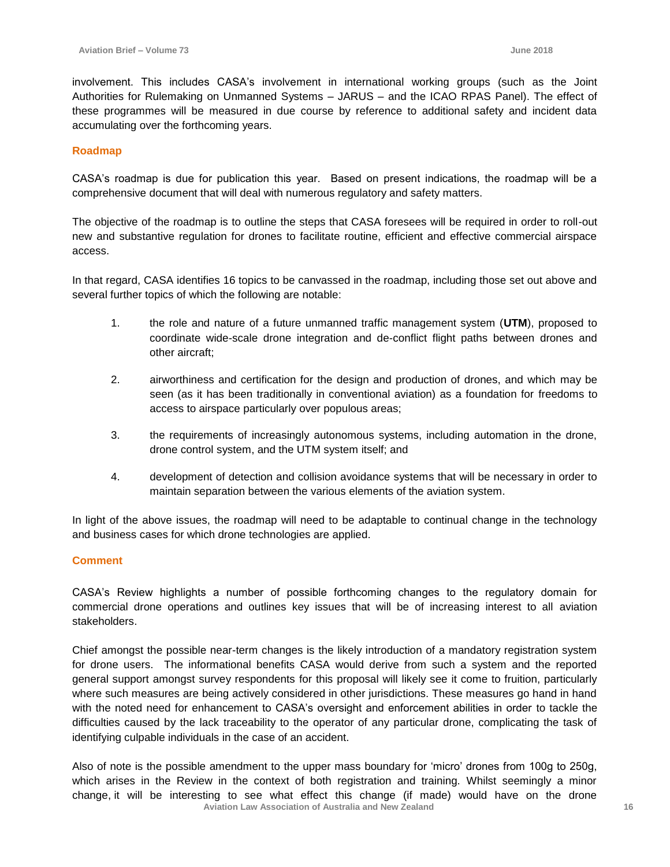involvement. This includes CASA's involvement in international working groups (such as the Joint Authorities for Rulemaking on Unmanned Systems – JARUS – and the ICAO RPAS Panel). The effect of these programmes will be measured in due course by reference to additional safety and incident data accumulating over the forthcoming years.

#### **Roadmap**

CASA's roadmap is due for publication this year. Based on present indications, the roadmap will be a comprehensive document that will deal with numerous regulatory and safety matters.

The objective of the roadmap is to outline the steps that CASA foresees will be required in order to roll-out new and substantive regulation for drones to facilitate routine, efficient and effective commercial airspace access.

In that regard, CASA identifies 16 topics to be canvassed in the roadmap, including those set out above and several further topics of which the following are notable:

- 1. the role and nature of a future unmanned traffic management system (**UTM**), proposed to coordinate wide-scale drone integration and de-conflict flight paths between drones and other aircraft;
- 2. airworthiness and certification for the design and production of drones, and which may be seen (as it has been traditionally in conventional aviation) as a foundation for freedoms to access to airspace particularly over populous areas;
- 3. the requirements of increasingly autonomous systems, including automation in the drone, drone control system, and the UTM system itself; and
- 4. development of detection and collision avoidance systems that will be necessary in order to maintain separation between the various elements of the aviation system.

In light of the above issues, the roadmap will need to be adaptable to continual change in the technology and business cases for which drone technologies are applied.

#### **Comment**

CASA's Review highlights a number of possible forthcoming changes to the regulatory domain for commercial drone operations and outlines key issues that will be of increasing interest to all aviation stakeholders.

Chief amongst the possible near-term changes is the likely introduction of a mandatory registration system for drone users. The informational benefits CASA would derive from such a system and the reported general support amongst survey respondents for this proposal will likely see it come to fruition, particularly where such measures are being actively considered in other jurisdictions. These measures go hand in hand with the noted need for enhancement to CASA's oversight and enforcement abilities in order to tackle the difficulties caused by the lack traceability to the operator of any particular drone, complicating the task of identifying culpable individuals in the case of an accident.

 **Aviation Law Association of Australia and New Zealand <sup>16</sup>** Also of note is the possible amendment to the upper mass boundary for 'micro' drones from 100g to 250g, which arises in the Review in the context of both registration and training. Whilst seemingly a minor change, it will be interesting to see what effect this change (if made) would have on the drone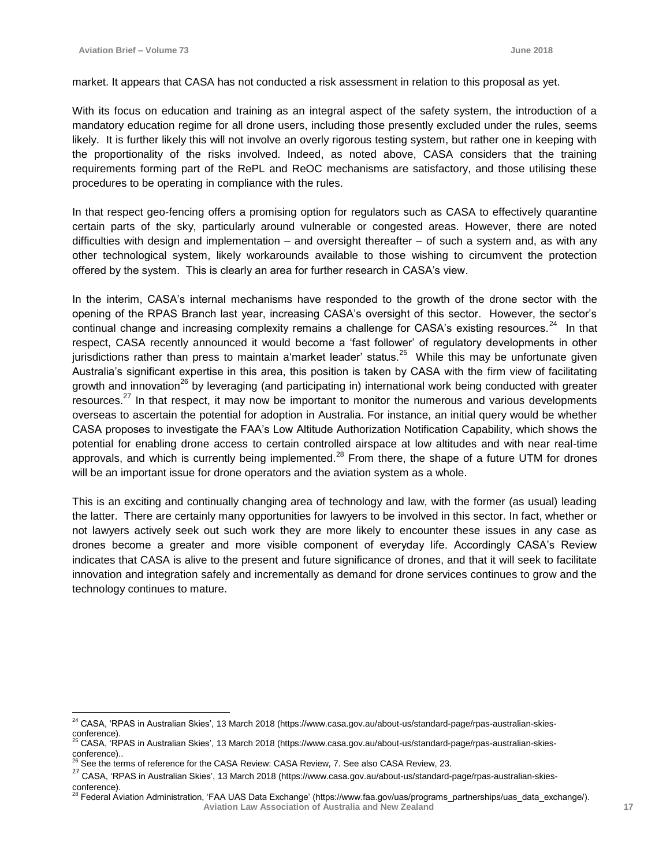$\overline{a}$ 

market. It appears that CASA has not conducted a risk assessment in relation to this proposal as yet.

With its focus on education and training as an integral aspect of the safety system, the introduction of a mandatory education regime for all drone users, including those presently excluded under the rules, seems likely. It is further likely this will not involve an overly rigorous testing system, but rather one in keeping with the proportionality of the risks involved. Indeed, as noted above, CASA considers that the training requirements forming part of the RePL and ReOC mechanisms are satisfactory, and those utilising these procedures to be operating in compliance with the rules.

In that respect geo-fencing offers a promising option for regulators such as CASA to effectively quarantine certain parts of the sky, particularly around vulnerable or congested areas. However, there are noted difficulties with design and implementation – and oversight thereafter – of such a system and, as with any other technological system, likely workarounds available to those wishing to circumvent the protection offered by the system. This is clearly an area for further research in CASA's view.

In the interim, CASA's internal mechanisms have responded to the growth of the drone sector with the opening of the RPAS Branch last year, increasing CASA's oversight of this sector. However, the sector's continual change and increasing complexity remains a challenge for CASA's existing resources.<sup>24</sup> In that respect, CASA recently announced it would become a 'fast follower' of regulatory developments in other jurisdictions rather than press to maintain a'market leader' status.<sup>25</sup> While this may be unfortunate given Australia's significant expertise in this area, this position is taken by CASA with the firm view of facilitating growth and innovation<sup>26</sup> by leveraging (and participating in) international work being conducted with greater resources. $^{27}$  In that respect, it may now be important to monitor the numerous and various developments overseas to ascertain the potential for adoption in Australia. For instance, an initial query would be whether CASA proposes to investigate the FAA's Low Altitude Authorization Notification Capability, which shows the potential for enabling drone access to certain controlled airspace at low altitudes and with near real-time approvals, and which is currently being implemented.<sup>28</sup> From there, the shape of a future UTM for drones will be an important issue for drone operators and the aviation system as a whole.

This is an exciting and continually changing area of technology and law, with the former (as usual) leading the latter. There are certainly many opportunities for lawyers to be involved in this sector. In fact, whether or not lawyers actively seek out such work they are more likely to encounter these issues in any case as drones become a greater and more visible component of everyday life. Accordingly CASA's Review indicates that CASA is alive to the present and future significance of drones, and that it will seek to facilitate innovation and integration safely and incrementally as demand for drone services continues to grow and the technology continues to mature.

 $^{24}$  CASA, 'RPAS in Australian Skies', 13 March 2018 (https://www.casa.gov.au/about-us/standard-page/rpas-australian-skies-

conference).<br><sup>25</sup> CASA, 'RPAS in Australian Skies', 13 March 2018 (https://www.casa.gov.au/about-us/standard-page/rpas-australian-skiesconference)..

<sup>26</sup> See the terms of reference for the CASA Review: CASA Review, 7. See also CASA Review, 23.

<sup>27</sup> CASA, 'RPAS in Australian Skies', 13 March 2018 (https://www.casa.gov.au/about-us/standard-page/rpas-australian-skiesconference).

**Aviation Law Association of Australia and New Zealand <sup>17</sup>** Federal Aviation Administration, 'FAA UAS Data Exchange' (https://www.faa.gov/uas/programs\_partnerships/uas\_data\_exchange/).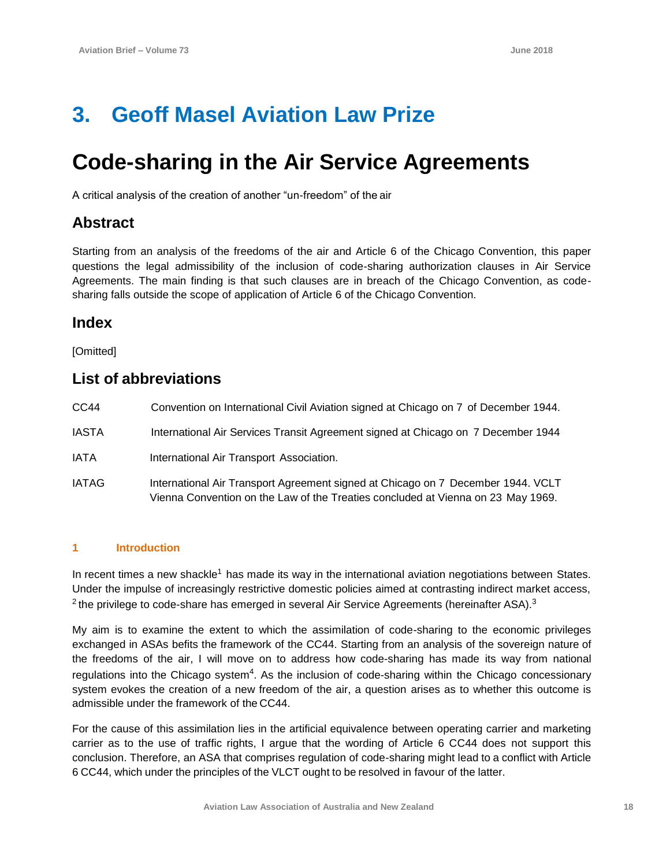## **3. Geoff Masel Aviation Law Prize**

## **Code-sharing in the Air Service Agreements**

A critical analysis of the creation of another "un-freedom" of the air

### **Abstract**

Starting from an analysis of the freedoms of the air and Article 6 of the Chicago Convention, this paper questions the legal admissibility of the inclusion of code-sharing authorization clauses in Air Service Agreements. The main finding is that such clauses are in breach of the Chicago Convention, as codesharing falls outside the scope of application of Article 6 of the Chicago Convention.

### **Index**

[Omitted]

## **List of abbreviations**

| CC44         | Convention on International Civil Aviation signed at Chicago on 7 of December 1944.                                                                                  |
|--------------|----------------------------------------------------------------------------------------------------------------------------------------------------------------------|
| <b>IASTA</b> | International Air Services Transit Agreement signed at Chicago on 7 December 1944                                                                                    |
| <b>IATA</b>  | International Air Transport Association.                                                                                                                             |
| <b>IATAG</b> | International Air Transport Agreement signed at Chicago on 7 December 1944. VCLT<br>Vienna Convention on the Law of the Treaties concluded at Vienna on 23 May 1969. |

#### **1 Introduction**

In recent times a new shackle<sup>1</sup> has made its way in the international aviation negotiations between States. Under the impulse of increasingly restrictive domestic policies aimed at contrasting indirect market access,  $2$  the privilege to code-share has emerged in several Air Service Agreements (hereinafter ASA). $3$ 

My aim is to examine the extent to which the assimilation of code-sharing to the economic privileges exchanged in ASAs befits the framework of the CC44. Starting from an analysis of the sovereign nature of the freedoms of the air, I will move on to address how code-sharing has made its way from national regulations into the Chicago system<sup>4</sup>. As the inclusion of code-sharing within the Chicago concessionary system evokes the creation of a new freedom of the air, a question arises as to whether this outcome is admissible under the framework of the CC44.

For the cause of this assimilation lies in the artificial equivalence between operating carrier and marketing carrier as to the use of traffic rights, I argue that the wording of Article 6 CC44 does not support this conclusion. Therefore, an ASA that comprises regulation of code-sharing might lead to a conflict with Article 6 CC44, which under the principles of the VLCT ought to be resolved in favour of the latter.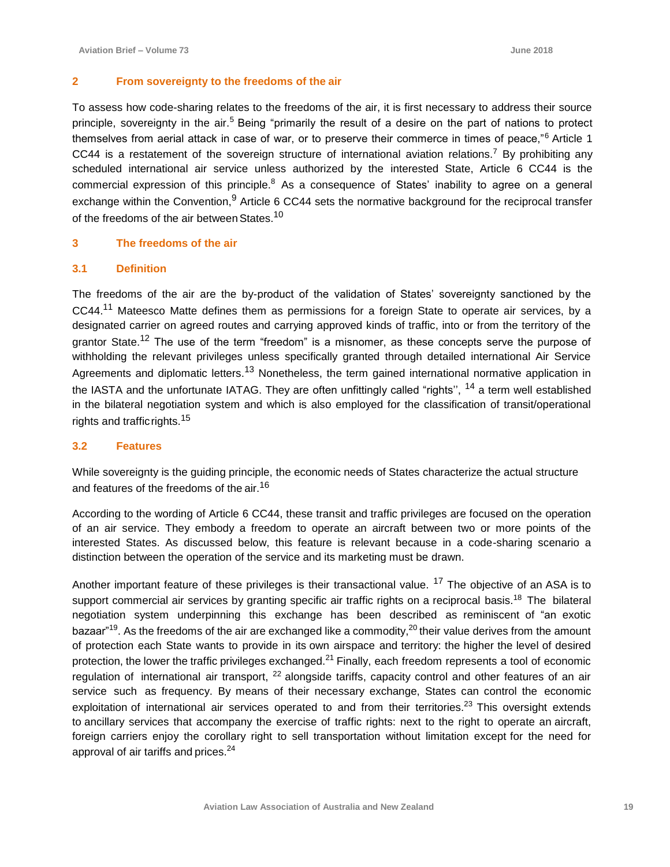#### **2 From sovereignty to the freedoms of the air**

To assess how code-sharing relates to the freedoms of the air, it is first necessary to address their source principle, sovereignty in the air.<sup>5</sup> Being "primarily the result of a desire on the part of nations to protect themselves from aerial attack in case of war, or to preserve their commerce in times of peace,"<sup>6</sup> Article 1 CC44 is a restatement of the sovereign structure of international aviation relations.<sup>7</sup> By prohibiting any scheduled international air service unless authorized by the interested State, Article 6 CC44 is the commercial expression of this principle.<sup>8</sup> As a consequence of States' inability to agree on a general exchange within the Convention, <sup>9</sup> Article 6 CC44 sets the normative background for the reciprocal transfer of the freedoms of the air between States.<sup>10</sup>

#### **3 The freedoms of the air**

#### **3.1 Definition**

The freedoms of the air are the by-product of the validation of States' sovereignty sanctioned by the CC44.<sup>11</sup> Mateesco Matte defines them as permissions for a foreign State to operate air services, by a designated carrier on agreed routes and carrying approved kinds of traffic, into or from the territory of the grantor State.<sup>12</sup> The use of the term "freedom" is a misnomer, as these concepts serve the purpose of withholding the relevant privileges unless specifically granted through detailed international Air Service Agreements and diplomatic letters.<sup>13</sup> Nonetheless, the term gained international normative application in the IASTA and the unfortunate IATAG. They are often unfittingly called "rights", <sup>14</sup> a term well established in the bilateral negotiation system and which is also employed for the classification of transit/operational rights and traffic rights.<sup>15</sup>

#### **3.2 Features**

While sovereignty is the guiding principle, the economic needs of States characterize the actual structure and features of the freedoms of the air.<sup>16</sup>

According to the wording of Article 6 CC44, these transit and traffic privileges are focused on the operation of an air service. They embody a freedom to operate an aircraft between two or more points of the interested States. As discussed below, this feature is relevant because in a code-sharing scenario a distinction between the operation of the service and its marketing must be drawn.

Another important feature of these privileges is their transactional value. <sup>17</sup> The objective of an ASA is to support commercial air services by granting specific air traffic rights on a reciprocal basis.<sup>18</sup> The bilateral negotiation system underpinning this exchange has been described as reminiscent of "an exotic bazaar"<sup>19</sup>. As the freedoms of the air are exchanged like a commodity,<sup>20</sup> their value derives from the amount of protection each State wants to provide in its own airspace and territory: the higher the level of desired protection, the lower the traffic privileges exchanged.<sup>21</sup> Finally, each freedom represents a tool of economic regulation of international air transport, <sup>22</sup> alongside tariffs, capacity control and other features of an air service such as frequency. By means of their necessary exchange, States can control the economic exploitation of international air services operated to and from their territories.<sup>23</sup> This oversight extends to ancillary services that accompany the exercise of traffic rights: next to the right to operate an aircraft, foreign carriers enjoy the corollary right to sell transportation without limitation except for the need for approval of air tariffs and prices.<sup>24</sup>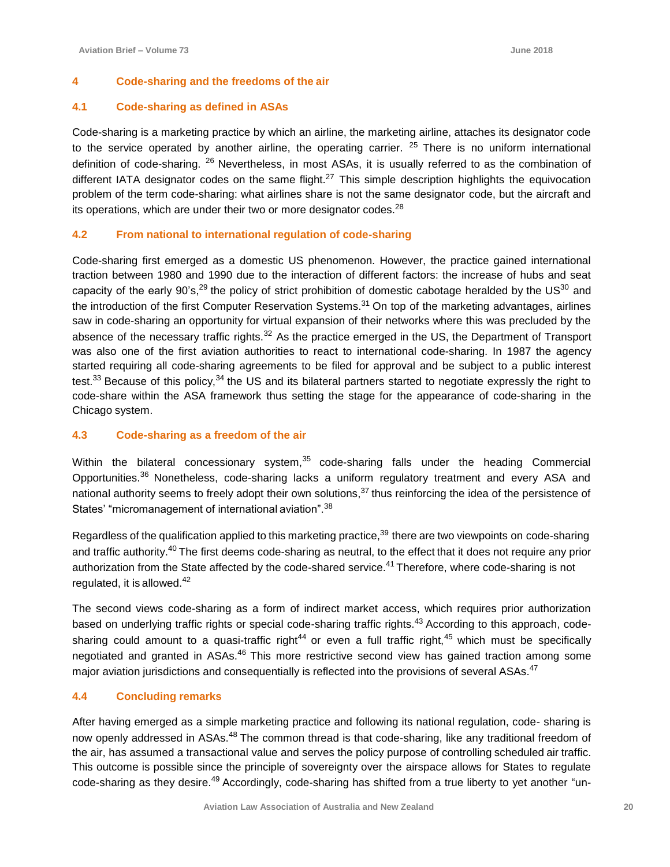#### **4 Code-sharing and the freedoms of the air**

#### **4.1 Code-sharing as defined in ASAs**

Code-sharing is a marketing practice by which an airline, the marketing airline, attaches its designator code to the service operated by another airline, the operating carrier.  $25$  There is no uniform international definition of code-sharing. <sup>26</sup> Nevertheless, in most ASAs, it is usually referred to as the combination of different IATA designator codes on the same flight.<sup>27</sup> This simple description highlights the equivocation problem of the term code-sharing: what airlines share is not the same designator code, but the aircraft and its operations, which are under their two or more designator codes.<sup>28</sup>

#### **4.2 From national to international regulation of code-sharing**

Code-sharing first emerged as a domestic US phenomenon. However, the practice gained international traction between 1980 and 1990 due to the interaction of different factors: the increase of hubs and seat capacity of the early 90's,<sup>29</sup> the policy of strict prohibition of domestic cabotage heralded by the US<sup>30</sup> and the introduction of the first Computer Reservation Systems.<sup>31</sup> On top of the marketing advantages, airlines saw in code-sharing an opportunity for virtual expansion of their networks where this was precluded by the absence of the necessary traffic rights.<sup>32</sup> As the practice emerged in the US, the Department of Transport was also one of the first aviation authorities to react to international code-sharing. In 1987 the agency started requiring all code-sharing agreements to be filed for approval and be subject to a public interest test.<sup>33</sup> Because of this policy,<sup>34</sup> the US and its bilateral partners started to negotiate expressly the right to code-share within the ASA framework thus setting the stage for the appearance of code-sharing in the Chicago system.

#### **4.3 Code-sharing as a freedom of the air**

Within the bilateral concessionary system, $35$  code-sharing falls under the heading Commercial Opportunities.<sup>36</sup> Nonetheless, code-sharing lacks a uniform regulatory treatment and every ASA and national authority seems to freely adopt their own solutions, $37$  thus reinforcing the idea of the persistence of States' "micromanagement of international aviation".<sup>38</sup>

Regardless of the qualification applied to this marketing practice,<sup>39</sup> there are two viewpoints on code-sharing and traffic authority.<sup>40</sup> The first deems code-sharing as neutral, to the effect that it does not require any prior authorization from the State affected by the code-shared service.<sup>41</sup> Therefore, where code-sharing is not regulated, it is allowed. $42$ 

The second views code-sharing as a form of indirect market access, which requires prior authorization based on underlying traffic rights or special code-sharing traffic rights.<sup>43</sup> According to this approach, codesharing could amount to a quasi-traffic right<sup>44</sup> or even a full traffic right,<sup>45</sup> which must be specifically negotiated and granted in ASAs.<sup>46</sup> This more restrictive second view has gained traction among some major aviation jurisdictions and consequentially is reflected into the provisions of several ASAs.<sup>47</sup>

#### **4.4 Concluding remarks**

After having emerged as a simple marketing practice and following its national regulation, code- sharing is now openly addressed in ASAs.<sup>48</sup> The common thread is that code-sharing, like any traditional freedom of the air, has assumed a transactional value and serves the policy purpose of controlling scheduled air traffic. This outcome is possible since the principle of sovereignty over the airspace allows for States to regulate code-sharing as they desire.<sup>49</sup> Accordingly, code-sharing has shifted from a true liberty to yet another "un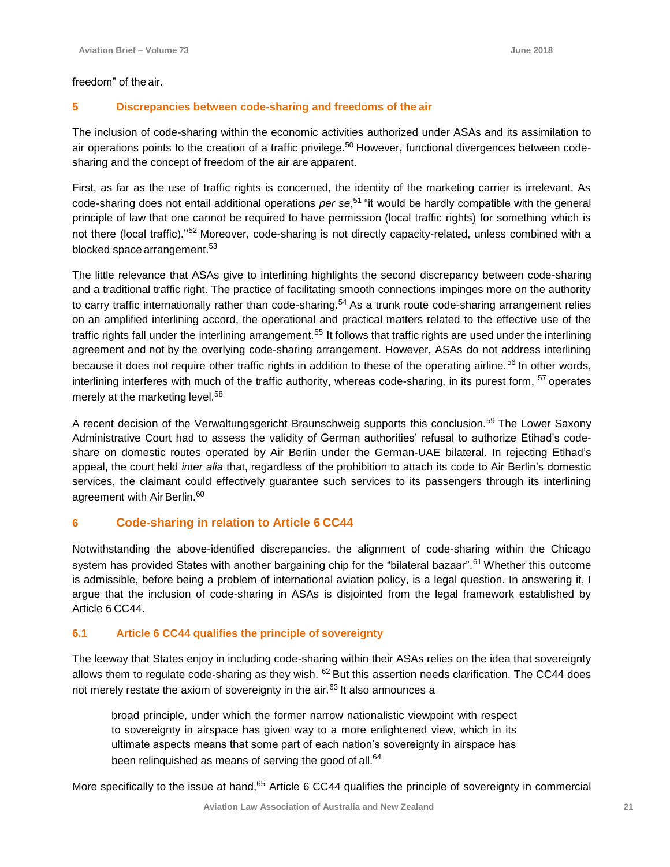freedom" of the air.

#### **5 Discrepancies between code-sharing and freedoms of the air**

The inclusion of code-sharing within the economic activities authorized under ASAs and its assimilation to air operations points to the creation of a traffic privilege.<sup>50</sup> However, functional divergences between codesharing and the concept of freedom of the air are apparent.

First, as far as the use of traffic rights is concerned, the identity of the marketing carrier is irrelevant. As code-sharing does not entail additional operations *per se*, <sup>51</sup>"it would be hardly compatible with the general principle of law that one cannot be required to have permission (local traffic rights) for something which is not there (local traffic)."<sup>52</sup> Moreover, code-sharing is not directly capacity-related, unless combined with a blocked space arrangement.<sup>53</sup>

The little relevance that ASAs give to interlining highlights the second discrepancy between code-sharing and a traditional traffic right. The practice of facilitating smooth connections impinges more on the authority to carry traffic internationally rather than code-sharing.<sup>54</sup> As a trunk route code-sharing arrangement relies on an amplified interlining accord, the operational and practical matters related to the effective use of the traffic rights fall under the interlining arrangement.<sup>55</sup> It follows that traffic rights are used under the interlining agreement and not by the overlying code-sharing arrangement. However, ASAs do not address interlining because it does not require other traffic rights in addition to these of the operating airline.<sup>56</sup> In other words, interlining interferes with much of the traffic authority, whereas code-sharing, in its purest form, <sup>57</sup> operates merely at the marketing level.<sup>58</sup>

A recent decision of the Verwaltungsgericht Braunschweig supports this conclusion.<sup>59</sup> The Lower Saxony Administrative Court had to assess the validity of German authorities' refusal to authorize Etihad's codeshare on domestic routes operated by Air Berlin under the German-UAE bilateral. In rejecting Etihad's appeal, the court held *inter alia* that, regardless of the prohibition to attach its code to Air Berlin's domestic services, the claimant could effectively guarantee such services to its passengers through its interlining agreement with Air Berlin.<sup>60</sup>

#### **6 Code-sharing in relation to Article 6 CC44**

Notwithstanding the above-identified discrepancies, the alignment of code-sharing within the Chicago system has provided States with another bargaining chip for the "bilateral bazaar".<sup>61</sup> Whether this outcome is admissible, before being a problem of international aviation policy, is a legal question. In answering it, I argue that the inclusion of code-sharing in ASAs is disjointed from the legal framework established by Article 6 CC44.

#### **6.1 Article 6 CC44 qualifies the principle of sovereignty**

The leeway that States enjoy in including code-sharing within their ASAs relies on the idea that sovereignty allows them to regulate code-sharing as they wish.  $62$  But this assertion needs clarification. The CC44 does not merely restate the axiom of sovereignty in the air.<sup>63</sup> It also announces a

broad principle, under which the former narrow nationalistic viewpoint with respect to sovereignty in airspace has given way to a more enlightened view, which in its ultimate aspects means that some part of each nation's sovereignty in airspace has been relinquished as means of serving the good of all.<sup>64</sup>

More specifically to the issue at hand,<sup>65</sup> Article 6 CC44 qualifies the principle of sovereignty in commercial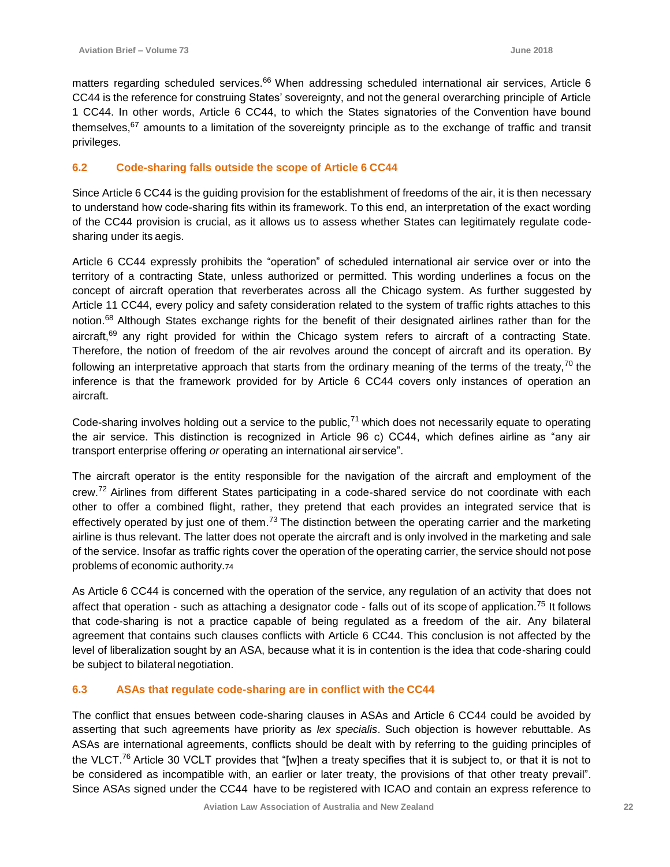matters regarding scheduled services.<sup>66</sup> When addressing scheduled international air services, Article 6 CC44 is the reference for construing States' sovereignty, and not the general overarching principle of Article 1 CC44. In other words, Article 6 CC44, to which the States signatories of the Convention have bound themselves, $67$  amounts to a limitation of the sovereignty principle as to the exchange of traffic and transit privileges.

#### **6.2 Code-sharing falls outside the scope of Article 6 CC44**

Since Article 6 CC44 is the guiding provision for the establishment of freedoms of the air, it is then necessary to understand how code-sharing fits within its framework. To this end, an interpretation of the exact wording of the CC44 provision is crucial, as it allows us to assess whether States can legitimately regulate codesharing under its aegis.

Article 6 CC44 expressly prohibits the "operation" of scheduled international air service over or into the territory of a contracting State, unless authorized or permitted. This wording underlines a focus on the concept of aircraft operation that reverberates across all the Chicago system. As further suggested by Article 11 CC44, every policy and safety consideration related to the system of traffic rights attaches to this notion.<sup>68</sup> Although States exchange rights for the benefit of their designated airlines rather than for the aircraft,<sup>69</sup> any right provided for within the Chicago system refers to aircraft of a contracting State. Therefore, the notion of freedom of the air revolves around the concept of aircraft and its operation. By following an interpretative approach that starts from the ordinary meaning of the terms of the treaty,  $70$  the inference is that the framework provided for by Article 6 CC44 covers only instances of operation an aircraft.

Code-sharing involves holding out a service to the public, $71$  which does not necessarily equate to operating the air service. This distinction is recognized in Article 96 c) CC44, which defines airline as "any air transport enterprise offering *or* operating an international air service".

The aircraft operator is the entity responsible for the navigation of the aircraft and employment of the crew.<sup>72</sup> Airlines from different States participating in a code-shared service do not coordinate with each other to offer a combined flight, rather, they pretend that each provides an integrated service that is effectively operated by just one of them.<sup>73</sup> The distinction between the operating carrier and the marketing airline is thus relevant. The latter does not operate the aircraft and is only involved in the marketing and sale of the service. Insofar as traffic rights cover the operation of the operating carrier, the service should not pose problems of economic authority.<sup>74</sup>

As Article 6 CC44 is concerned with the operation of the service, any regulation of an activity that does not affect that operation - such as attaching a designator code - falls out of its scope of application.<sup>75</sup> It follows that code-sharing is not a practice capable of being regulated as a freedom of the air. Any bilateral agreement that contains such clauses conflicts with Article 6 CC44. This conclusion is not affected by the level of liberalization sought by an ASA, because what it is in contention is the idea that code-sharing could be subject to bilateral negotiation.

#### **6.3 ASAs that regulate code-sharing are in conflict with the CC44**

The conflict that ensues between code-sharing clauses in ASAs and Article 6 CC44 could be avoided by asserting that such agreements have priority as *lex specialis*. Such objection is however rebuttable. As ASAs are international agreements, conflicts should be dealt with by referring to the guiding principles of the VLCT.<sup>76</sup> Article 30 VCLT provides that "[w]hen a treaty specifies that it is subject to, or that it is not to be considered as incompatible with, an earlier or later treaty, the provisions of that other treaty prevail". Since ASAs signed under the CC44 have to be registered with ICAO and contain an express reference to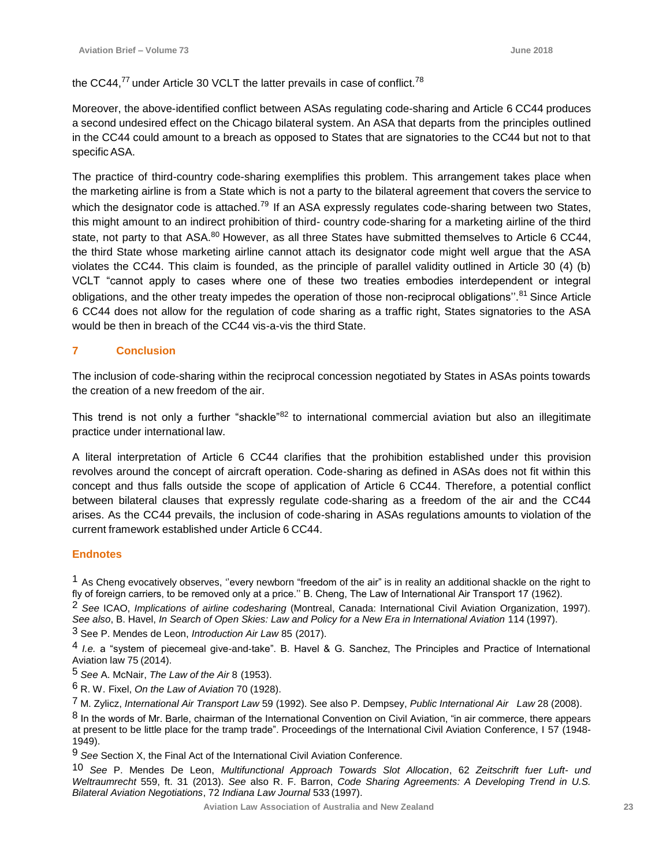the CC44, $^{77}$  under Article 30 VCLT the latter prevails in case of conflict.<sup>78</sup>

Moreover, the above-identified conflict between ASAs regulating code-sharing and Article 6 CC44 produces a second undesired effect on the Chicago bilateral system. An ASA that departs from the principles outlined in the CC44 could amount to a breach as opposed to States that are signatories to the CC44 but not to that specific ASA.

The practice of third-country code-sharing exemplifies this problem. This arrangement takes place when the marketing airline is from a State which is not a party to the bilateral agreement that covers the service to which the designator code is attached.<sup>79</sup> If an ASA expressly regulates code-sharing between two States, this might amount to an indirect prohibition of third- country code-sharing for a marketing airline of the third state, not party to that ASA.<sup>80</sup> However, as all three States have submitted themselves to Article 6 CC44, the third State whose marketing airline cannot attach its designator code might well argue that the ASA violates the CC44. This claim is founded, as the principle of parallel validity outlined in Article 30 (4) (b) VCLT "cannot apply to cases where one of these two treaties embodies interdependent or integral obligations, and the other treaty impedes the operation of those non-reciprocal obligations".<sup>81</sup> Since Article 6 CC44 does not allow for the regulation of code sharing as a traffic right, States signatories to the ASA would be then in breach of the CC44 vis-a-vis the third State.

#### **7 Conclusion**

The inclusion of code-sharing within the reciprocal concession negotiated by States in ASAs points towards the creation of a new freedom of the air.

This trend is not only a further "shackle"<sup>82</sup> to international commercial aviation but also an illegitimate practice under international law.

A literal interpretation of Article 6 CC44 clarifies that the prohibition established under this provision revolves around the concept of aircraft operation. Code-sharing as defined in ASAs does not fit within this concept and thus falls outside the scope of application of Article 6 CC44. Therefore, a potential conflict between bilateral clauses that expressly regulate code-sharing as a freedom of the air and the CC44 arises. As the CC44 prevails, the inclusion of code-sharing in ASAs regulations amounts to violation of the current framework established under Article 6 CC44.

#### **Endnotes**

 $<sup>1</sup>$  As Cheng evocatively observes, "every newborn "freedom of the air" is in reality an additional shackle on the right to</sup> fly of foreign carriers, to be removed only at a price.'' B. Cheng, The Law of International Air Transport 17 (1962).

2 *See* ICAO, *Implications of airline codesharing* (Montreal, Canada: International Civil Aviation Organization, 1997). See also, B. Havel, *In Search of Open Skies: Law and Policy for a New Era in International Aviation 114 (1997).* 3 See P. Mendes de Leon, *Introduction Air Law* 85 (2017).

4 *I.e.* a "system of piecemeal give-and-take". B. Havel & G. Sanchez, The Principles and Practice of International Aviation law 75 (2014).

5 *See* A. McNair, *The Law of the Air* 8 (1953).

6 R. W. Fixel, *On the Law of Aviation* 70 (1928).

7 M. Zylicz, *International Air Transport Law* 59 (1992). See also P. Dempsey, *Public International Air Law* 28 (2008).

 $8$  In the words of Mr. Barle, chairman of the International Convention on Civil Aviation, "in air commerce, there appears at present to be little place for the tramp trade". Proceedings of the International Civil Aviation Conference, I 57 (1948- 1949).

9 *See* Section X, the Final Act of the International Civil Aviation Conference.

10 *See* P. Mendes De Leon, *Multifunctional Approach Towards Slot Allocation*, 62 *Zeitschrift fuer Luft- und Weltraumrecht* 559, ft. 31 (2013). *See* also R. F. Barron, *Code Sharing Agreements: A Developing Trend in U.S. Bilateral Aviation Negotiations*, 72 *Indiana Law Journal* 533 (1997).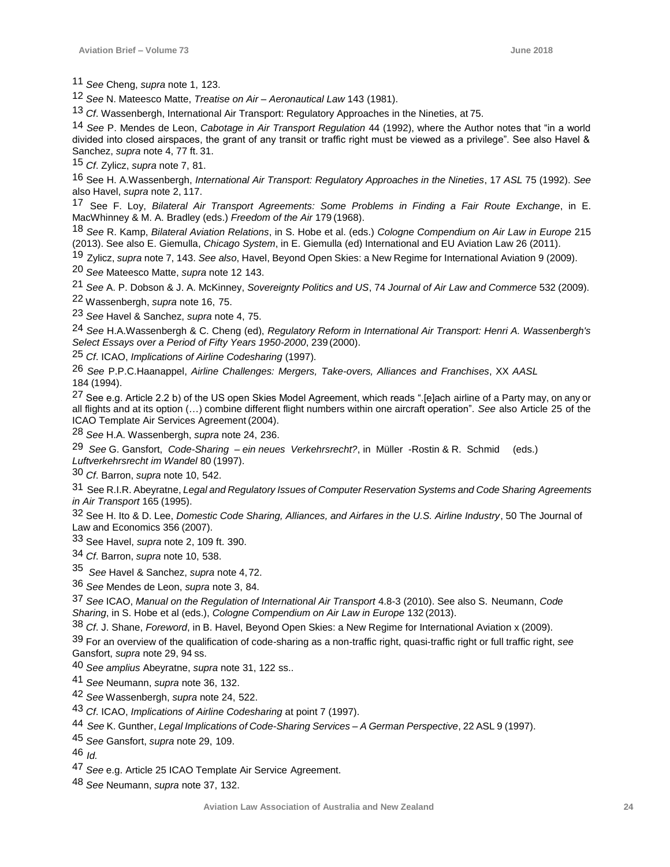*See* Cheng, *supra* note 1, 123.

*See* N. Mateesco Matte, *Treatise on Air – Aeronautical Law* 143 (1981).

*Cf*. Wassenbergh, International Air Transport: Regulatory Approaches in the Nineties, at 75.

*See* P. Mendes de Leon, *Cabotage in Air Transport Regulation* 44 (1992), where the Author notes that "in a world divided into closed airspaces, the grant of any transit or traffic right must be viewed as a privilege". See also Havel & Sanchez, *supra* note 4, 77 ft. 31.

*Cf*. Zylicz, *supra* note 7, 81.

16 See H. A.Wassenbergh, *International Air Transport: Regulatory Approaches in the Nineties*, 17 *ASL* 75 (1992). *See*  also Havel, *supra* note 2, 117.

 See F. Loy, *Bilateral Air Transport Agreements: Some Problems in Finding a Fair Route Exchange*, in E. MacWhinney & M. A. Bradley (eds.) *Freedom of the Air* 179 (1968).

*See* R. Kamp, *Bilateral Aviation Relations*, in S. Hobe et al. (eds.) *Cologne Compendium on Air Law in Europe* 215 (2013). See also E. Giemulla, *Chicago System*, in E. Giemulla (ed) International and EU Aviation Law 26 (2011).

Zylicz, *supra* note 7, 143. *See also*, Havel, Beyond Open Skies: a New Regime for International Aviation 9 (2009).

*See* Mateesco Matte, *supra* note 12 143.

*See* A. P. Dobson & J. A. McKinney, *Sovereignty Politics and US*, 74 *Journal of Air Law and Commerce* 532 (2009).

22 Wassenbergh, *supra* note 16, 75.

*See* Havel & Sanchez, *supra* note 4, 75.

*See* H.A.Wassenbergh & C. Cheng (ed), *Regulatory Reform in International Air Transport: Henri A. Wassenbergh's Select Essays over a Period of Fifty Years 1950-2000*, 239 (2000).

*Cf*. ICAO, *Implications of Airline Codesharing* (1997).

 *See* P.P.C.Haanappel, *Airline Challenges: Mergers, Take-overs, Alliances and Franchises*, XX *AASL* (1994).

27 See e.g. Article 2.2 b) of the US open Skies Model Agreement, which reads ".[e]ach airline of a Party may, on any or all flights and at its option (…) combine different flight numbers within one aircraft operation". *See* also Article 25 of the ICAO Template Air Services Agreement (2004).

*See* H.A. Wassenbergh, *supra* note 24, 236.

*See* G. Gansfort, *Code-Sharing – ein neues Verkehrsrecht?*, in Müller -Rostin & R. Schmid (eds.) *Luftverkehrsrecht im Wandel* 80 (1997).

*Cf*. Barron, *supra* note 10, 542.

 See R.I.R. Abeyratne, *Legal and Regulatory Issues of Computer Reservation Systems and Code Sharing Agreements in Air Transport* 165 (1995).

32 See H. Ito & D. Lee, *Domestic Code Sharing, Alliances, and Airfares in the U.S. Airline Industry*, 50 The Journal of Law and Economics 356 (2007).

33 See Havel, *supra* note 2, 109 ft. 390.

*Cf*. Barron, *supra* note 10, 538.

*See* Havel & Sanchez, *supra* note 4,72.

*See* Mendes de Leon, *supra* note 3, 84.

*See* ICAO, *Manual on the Regulation of International Air Transport* 4.8-3 (2010). See also S. Neumann, *Code Sharing*, in S. Hobe et al (eds.), *Cologne Compendium on Air Law in Europe* 132 (2013).

*Cf*. J. Shane, *Foreword*, in B. Havel, Beyond Open Skies: a New Regime for International Aviation x (2009).

39 For an overview of the qualification of code-sharing as a non-traffic right, quasi-traffic right or full traffic right, *see*  Gansfort, *supra* note 29, 94 ss.

*See amplius* Abeyratne, *supra* note 31, 122 ss..

*See* Neumann, *supra* note 36, 132.

*See* Wassenbergh, *supra* note 24, 522.

*Cf*. ICAO, *Implications of Airline Codesharing* at point 7 (1997).

*See* K. Gunther, *Legal Implications of Code-Sharing Services – A German Perspective*, 22 ASL 9 (1997).

*See* Gansfort, *supra* note 29, 109.

*Id.*

*See* e.g. Article 25 ICAO Template Air Service Agreement.

*See* Neumann, *supra* note 37, 132.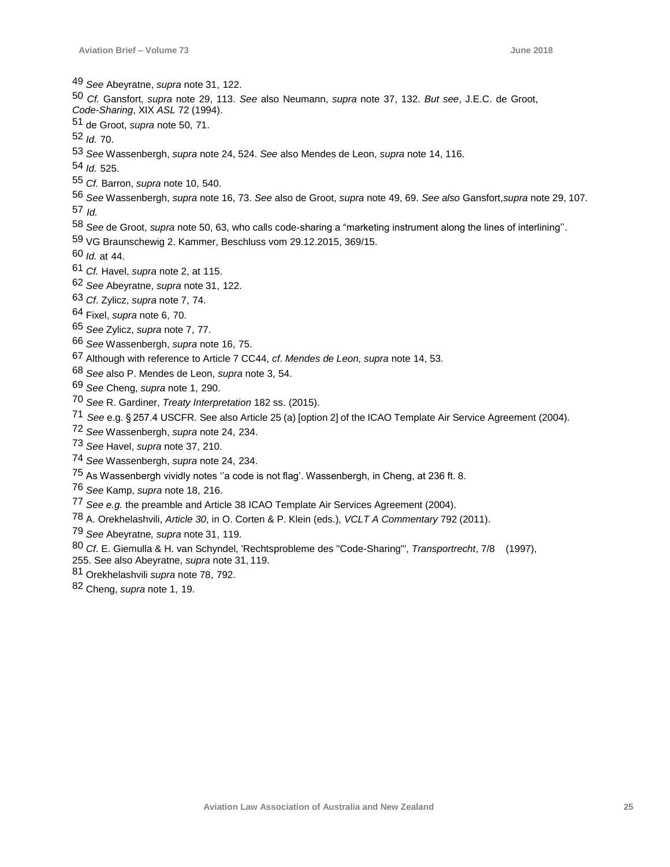*See* Abeyratne, *supra* note 31, 122.

- *Cf.* Gansfort, *supra* note 29, 113. *See* also Neumann, *supra* note 37, 132. *But see*, J.E.C. de Groot,
- *Code-Sharing*, XIX *ASL* 72 (1994).

51 de Groot, *supra* note 50, 71.

- *Id.* 70.
- *See* Wassenbergh, *supra* note 24, 524. *See* also Mendes de Leon, *supra* note 14, 116.
- *Id.* 525.
- *Cf.* Barron, *supra* note 10, 540.
- *See* Wassenbergh, *supra* note 16, 73. *See* also de Groot, *supra* note 49, 69. *See also* Gansfort,*supra* note 29, 107. *Id.*
- *See* de Groot, *supra* note 50, 63, who calls code-sharing a "marketing instrument along the lines of interlining''.
- 59 VG Braunschewig 2. Kammer, Beschluss vom 29.12.2015, 369/15.
- *Id.* at 44.
- *Cf.* Havel, *supra* note 2, at 115.
- *See* Abeyratne, *supra* note 31, 122.
- *Cf*. Zylicz, *supra* note 7, 74.
- 64 Fixel, *supra* note 6, 70.
- *See* Zylicz, *supra* note 7, 77.
- *See* Wassenbergh, *supra* note 16, 75.
- 67 Although with reference to Article 7 CC44, *cf*. *Mendes de Leon, supra* note 14, 53.
- *See* also P. Mendes de Leon, *supra* note 3, 54.
- *See* Cheng, *supra* note 1, 290.
- *See* R. Gardiner, *Treaty Interpretation* 182 ss. (2015).
- *See* e.g. § 257.4 USCFR. See also Article 25 (a) [option 2] of the ICAO Template Air Service Agreement (2004).
- *See* Wassenbergh, *supra* note 24, 234.
- *See* Havel, *supra* note 37, 210.
- *See* Wassenbergh, *supra* note 24, 234.
- 75 As Wassenbergh vividly notes ''a code is not flag'. Wassenbergh, in Cheng, at 236 ft. 8.
- *See* Kamp, *supra* note 18, 216.
- *See e.g.* the preamble and Article 38 ICAO Template Air Services Agreement (2004).
- 78 A. Orekhelashvili, *Article 30*, in O. Corten & P. Klein (eds.), *VCLT A Commentary* 792 (2011).
- *See* Abeyratne*, supra* note 31, 119.
- *Cf*. E. Giemulla & H. van Schyndel, 'Rechtsprobleme des ''Code-Sharing"', *Transportrecht*, 7/8 (1997),
- 255. See also Abeyratne, *supra* note 31, 119.
- 81 Orekhelashvili *supra* note 78, 792.
- 82 Cheng, *supra* note 1, 19.